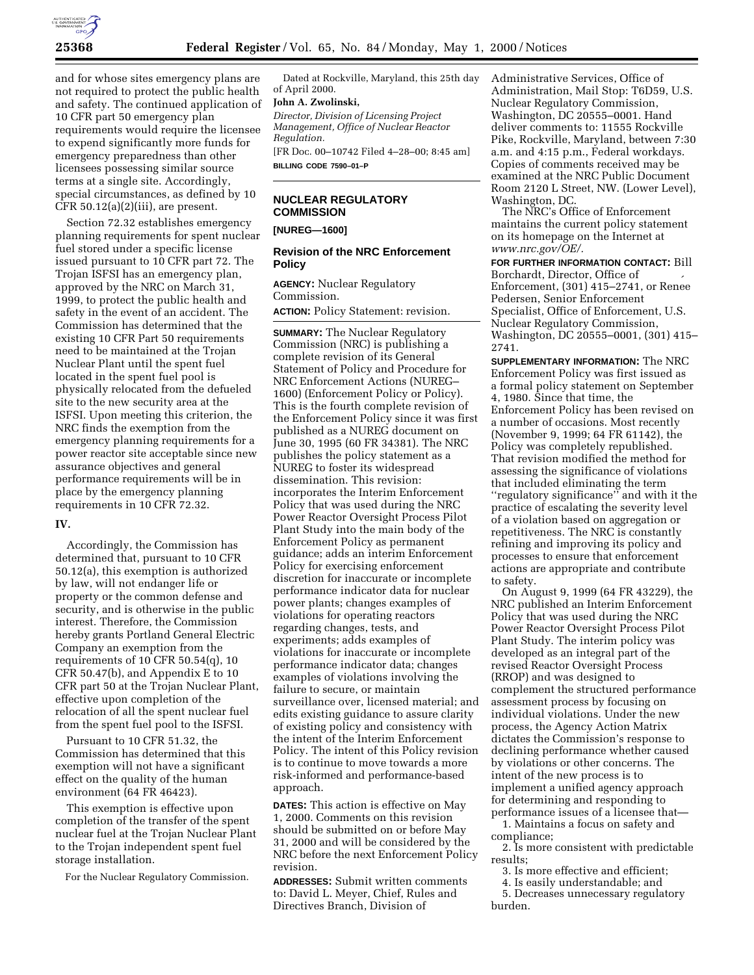

and for whose sites emergency plans are not required to protect the public health and safety. The continued application of 10 CFR part 50 emergency plan requirements would require the licensee to expend significantly more funds for emergency preparedness than other licensees possessing similar source terms at a single site. Accordingly, special circumstances, as defined by 10 CFR 50.12(a)(2)(iii), are present.

Section 72.32 establishes emergency planning requirements for spent nuclear fuel stored under a specific license issued pursuant to 10 CFR part 72. The Trojan ISFSI has an emergency plan, approved by the NRC on March 31, 1999, to protect the public health and safety in the event of an accident. The Commission has determined that the existing 10 CFR Part 50 requirements need to be maintained at the Trojan Nuclear Plant until the spent fuel located in the spent fuel pool is physically relocated from the defueled site to the new security area at the ISFSI. Upon meeting this criterion, the NRC finds the exemption from the emergency planning requirements for a power reactor site acceptable since new assurance objectives and general performance requirements will be in place by the emergency planning requirements in 10 CFR 72.32.

### **IV.**

Accordingly, the Commission has determined that, pursuant to 10 CFR 50.12(a), this exemption is authorized by law, will not endanger life or property or the common defense and security, and is otherwise in the public interest. Therefore, the Commission hereby grants Portland General Electric Company an exemption from the requirements of 10 CFR 50.54(q), 10 CFR 50.47(b), and Appendix E to 10 CFR part 50 at the Trojan Nuclear Plant, effective upon completion of the relocation of all the spent nuclear fuel from the spent fuel pool to the ISFSI.

Pursuant to 10 CFR 51.32, the Commission has determined that this exemption will not have a significant effect on the quality of the human environment (64 FR 46423).

This exemption is effective upon completion of the transfer of the spent nuclear fuel at the Trojan Nuclear Plant to the Trojan independent spent fuel storage installation.

For the Nuclear Regulatory Commission.

Dated at Rockville, Maryland, this 25th day of April 2000.

### **John A. Zwolinski,**

*Director, Division of Licensing Project Management, Office of Nuclear Reactor Regulation.*

[FR Doc. 00–10742 Filed 4–28–00; 8:45 am] **BILLING CODE 7590–01–P**

# **NUCLEAR REGULATORY COMMISSION**

**[NUREG—1600]**

# **Revision of the NRC Enforcement Policy**

**AGENCY:** Nuclear Regulatory Commission.

**ACTION:** Policy Statement: revision.

**SUMMARY:** The Nuclear Regulatory Commission (NRC) is publishing a complete revision of its General Statement of Policy and Procedure for NRC Enforcement Actions (NUREG– 1600) (Enforcement Policy or Policy). This is the fourth complete revision of the Enforcement Policy since it was first published as a NUREG document on June 30, 1995 (60 FR 34381). The NRC publishes the policy statement as a NUREG to foster its widespread dissemination. This revision: incorporates the Interim Enforcement Policy that was used during the NRC Power Reactor Oversight Process Pilot Plant Study into the main body of the Enforcement Policy as permanent guidance; adds an interim Enforcement Policy for exercising enforcement discretion for inaccurate or incomplete performance indicator data for nuclear power plants; changes examples of violations for operating reactors regarding changes, tests, and experiments; adds examples of violations for inaccurate or incomplete performance indicator data; changes examples of violations involving the failure to secure, or maintain surveillance over, licensed material; and edits existing guidance to assure clarity of existing policy and consistency with the intent of the Interim Enforcement Policy. The intent of this Policy revision is to continue to move towards a more risk-informed and performance-based approach.

**DATES:** This action is effective on May 1, 2000. Comments on this revision should be submitted on or before May 31, 2000 and will be considered by the NRC before the next Enforcement Policy revision.

**ADDRESSES:** Submit written comments to: David L. Meyer, Chief, Rules and Directives Branch, Division of

Administrative Services, Office of Administration, Mail Stop: T6D59, U.S. Nuclear Regulatory Commission, Washington, DC 20555–0001. Hand deliver comments to: 11555 Rockville Pike, Rockville, Maryland, between 7:30 a.m. and 4:15 p.m., Federal workdays. Copies of comments received may be examined at the NRC Public Document Room 2120 L Street, NW. (Lower Level), Washington, DC.

The NRC's Office of Enforcement maintains the current policy statement on its homepage on the Internet at *www.nrc.gov/OE/.*

**FOR FURTHER INFORMATION CONTACT:** Bill Borchardt, Director, Office of Enforcement, (301) 415–2741, or Rene´ e Pedersen, Senior Enforcement Specialist, Office of Enforcement, U.S. Nuclear Regulatory Commission, Washington, DC 20555–0001, (301) 415– 2741.

**SUPPLEMENTARY INFORMATION:** The NRC Enforcement Policy was first issued as a formal policy statement on September 4, 1980. Since that time, the Enforcement Policy has been revised on a number of occasions. Most recently (November 9, 1999; 64 FR 61142), the Policy was completely republished. That revision modified the method for assessing the significance of violations that included eliminating the term ''regulatory significance'' and with it the practice of escalating the severity level of a violation based on aggregation or repetitiveness. The NRC is constantly refining and improving its policy and processes to ensure that enforcement actions are appropriate and contribute to safety.

On August 9, 1999 (64 FR 43229), the NRC published an Interim Enforcement Policy that was used during the NRC Power Reactor Oversight Process Pilot Plant Study. The interim policy was developed as an integral part of the revised Reactor Oversight Process (RROP) and was designed to complement the structured performance assessment process by focusing on individual violations. Under the new process, the Agency Action Matrix dictates the Commission's response to declining performance whether caused by violations or other concerns. The intent of the new process is to implement a unified agency approach for determining and responding to performance issues of a licensee that—

1. Maintains a focus on safety and compliance;

2. Is more consistent with predictable results;

- 3. Is more effective and efficient;
- 4. Is easily understandable; and
- 5. Decreases unnecessary regulatory burden.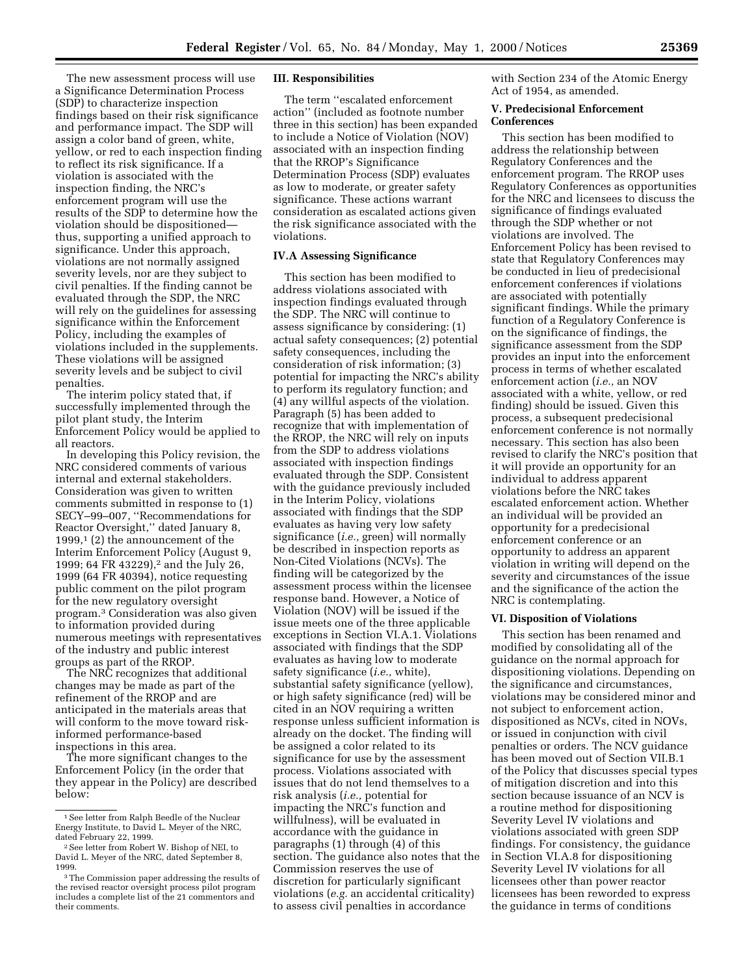The new assessment process will use a Significance Determination Process (SDP) to characterize inspection findings based on their risk significance and performance impact. The SDP will assign a color band of green, white, yellow, or red to each inspection finding to reflect its risk significance. If a violation is associated with the inspection finding, the NRC's enforcement program will use the results of the SDP to determine how the violation should be dispositioned thus, supporting a unified approach to significance. Under this approach, violations are not normally assigned severity levels, nor are they subject to civil penalties. If the finding cannot be evaluated through the SDP, the NRC will rely on the guidelines for assessing significance within the Enforcement Policy, including the examples of violations included in the supplements. These violations will be assigned severity levels and be subject to civil penalties.

The interim policy stated that, if successfully implemented through the pilot plant study, the Interim Enforcement Policy would be applied to all reactors.

In developing this Policy revision, the NRC considered comments of various internal and external stakeholders. Consideration was given to written comments submitted in response to (1) SECY–99–007, ''Recommendations for Reactor Oversight,'' dated January 8, 1999,1 (2) the announcement of the Interim Enforcement Policy (August 9, 1999; 64 FR 43229),<sup>2</sup> and the July 26, 1999 (64 FR 40394), notice requesting public comment on the pilot program for the new regulatory oversight program.3 Consideration was also given to information provided during numerous meetings with representatives of the industry and public interest groups as part of the RROP.

The NRC recognizes that additional changes may be made as part of the refinement of the RROP and are anticipated in the materials areas that will conform to the move toward riskinformed performance-based inspections in this area.

The more significant changes to the Enforcement Policy (in the order that they appear in the Policy) are described below:

# **III. Responsibilities**

The term ''escalated enforcement action'' (included as footnote number three in this section) has been expanded to include a Notice of Violation (NOV) associated with an inspection finding that the RROP's Significance Determination Process (SDP) evaluates as low to moderate, or greater safety significance. These actions warrant consideration as escalated actions given the risk significance associated with the violations.

## **IV.A Assessing Significance**

This section has been modified to address violations associated with inspection findings evaluated through the SDP. The NRC will continue to assess significance by considering: (1) actual safety consequences; (2) potential safety consequences, including the consideration of risk information; (3) potential for impacting the NRC's ability to perform its regulatory function; and (4) any willful aspects of the violation. Paragraph (5) has been added to recognize that with implementation of the RROP, the NRC will rely on inputs from the SDP to address violations associated with inspection findings evaluated through the SDP. Consistent with the guidance previously included in the Interim Policy, violations associated with findings that the SDP evaluates as having very low safety significance (*i.e.,* green) will normally be described in inspection reports as Non-Cited Violations (NCVs). The finding will be categorized by the assessment process within the licensee response band. However, a Notice of Violation (NOV) will be issued if the issue meets one of the three applicable exceptions in Section VI.A.1. Violations associated with findings that the SDP evaluates as having low to moderate safety significance (*i.e.,* white), substantial safety significance (yellow), or high safety significance (red) will be cited in an NOV requiring a written response unless sufficient information is already on the docket. The finding will be assigned a color related to its significance for use by the assessment process. Violations associated with issues that do not lend themselves to a risk analysis (*i.e.,* potential for impacting the NRC's function and willfulness), will be evaluated in accordance with the guidance in paragraphs (1) through (4) of this section. The guidance also notes that the Commission reserves the use of discretion for particularly significant violations (*e.g.* an accidental criticality) to assess civil penalties in accordance

with Section 234 of the Atomic Energy Act of 1954, as amended.

### **V. Predecisional Enforcement Conferences**

This section has been modified to address the relationship between Regulatory Conferences and the enforcement program. The RROP uses Regulatory Conferences as opportunities for the NRC and licensees to discuss the significance of findings evaluated through the SDP whether or not violations are involved. The Enforcement Policy has been revised to state that Regulatory Conferences may be conducted in lieu of predecisional enforcement conferences if violations are associated with potentially significant findings. While the primary function of a Regulatory Conference is on the significance of findings, the significance assessment from the SDP provides an input into the enforcement process in terms of whether escalated enforcement action (*i.e.,* an NOV associated with a white, yellow, or red finding) should be issued. Given this process, a subsequent predecisional enforcement conference is not normally necessary. This section has also been revised to clarify the NRC's position that it will provide an opportunity for an individual to address apparent violations before the NRC takes escalated enforcement action. Whether an individual will be provided an opportunity for a predecisional enforcement conference or an opportunity to address an apparent violation in writing will depend on the severity and circumstances of the issue and the significance of the action the NRC is contemplating.

#### **VI. Disposition of Violations**

This section has been renamed and modified by consolidating all of the guidance on the normal approach for dispositioning violations. Depending on the significance and circumstances, violations may be considered minor and not subject to enforcement action, dispositioned as NCVs, cited in NOVs, or issued in conjunction with civil penalties or orders. The NCV guidance has been moved out of Section VII.B.1 of the Policy that discusses special types of mitigation discretion and into this section because issuance of an NCV is a routine method for dispositioning Severity Level IV violations and violations associated with green SDP findings. For consistency, the guidance in Section VI.A.8 for dispositioning Severity Level IV violations for all licensees other than power reactor licensees has been reworded to express the guidance in terms of conditions

<sup>1</sup>See letter from Ralph Beedle of the Nuclear Energy Institute, to David L. Meyer of the NRC, dated February 22, 1999.

<sup>2</sup>See letter from Robert W. Bishop of NEI, to David L. Meyer of the NRC, dated September 8, 1999.

<sup>3</sup>The Commission paper addressing the results of the revised reactor oversight process pilot program includes a complete list of the 21 commentors and their comments.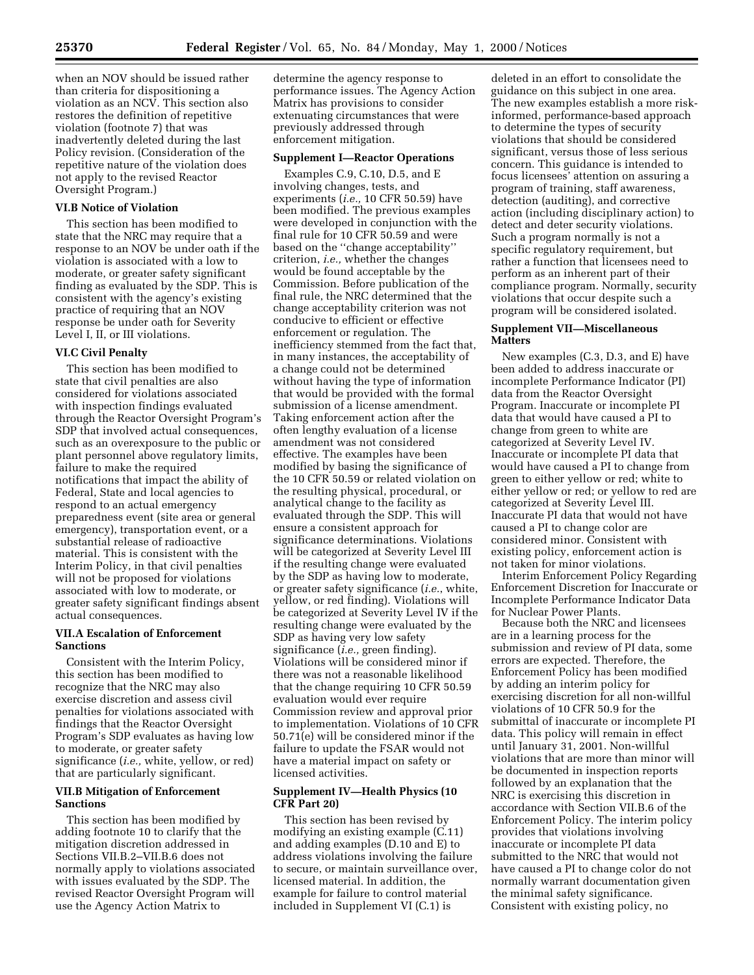when an NOV should be issued rather than criteria for dispositioning a violation as an NCV. This section also restores the definition of repetitive violation (footnote 7) that was inadvertently deleted during the last Policy revision. (Consideration of the repetitive nature of the violation does not apply to the revised Reactor Oversight Program.)

## **VI.B Notice of Violation**

This section has been modified to state that the NRC may require that a response to an NOV be under oath if the violation is associated with a low to moderate, or greater safety significant finding as evaluated by the SDP. This is consistent with the agency's existing practice of requiring that an NOV response be under oath for Severity Level I, II, or III violations.

### **VI.C Civil Penalty**

This section has been modified to state that civil penalties are also considered for violations associated with inspection findings evaluated through the Reactor Oversight Program's SDP that involved actual consequences, such as an overexposure to the public or plant personnel above regulatory limits, failure to make the required notifications that impact the ability of Federal, State and local agencies to respond to an actual emergency preparedness event (site area or general emergency), transportation event, or a substantial release of radioactive material. This is consistent with the Interim Policy, in that civil penalties will not be proposed for violations associated with low to moderate, or greater safety significant findings absent actual consequences.

# **VII.A Escalation of Enforcement Sanctions**

Consistent with the Interim Policy, this section has been modified to recognize that the NRC may also exercise discretion and assess civil penalties for violations associated with findings that the Reactor Oversight Program's SDP evaluates as having low to moderate, or greater safety significance (*i.e.,* white, yellow, or red) that are particularly significant.

# **VII.B Mitigation of Enforcement Sanctions**

This section has been modified by adding footnote 10 to clarify that the mitigation discretion addressed in Sections VII.B.2–VII.B.6 does not normally apply to violations associated with issues evaluated by the SDP. The revised Reactor Oversight Program will use the Agency Action Matrix to

determine the agency response to performance issues. The Agency Action Matrix has provisions to consider extenuating circumstances that were previously addressed through enforcement mitigation.

#### **Supplement I—Reactor Operations**

Examples C.9, C.10, D.5, and E involving changes, tests, and experiments (*i.e.,* 10 CFR 50.59) have been modified. The previous examples were developed in conjunction with the final rule for 10 CFR 50.59 and were based on the ''change acceptability'' criterion, *i.e.,* whether the changes would be found acceptable by the Commission. Before publication of the final rule, the NRC determined that the change acceptability criterion was not conducive to efficient or effective enforcement or regulation. The inefficiency stemmed from the fact that, in many instances, the acceptability of a change could not be determined without having the type of information that would be provided with the formal submission of a license amendment. Taking enforcement action after the often lengthy evaluation of a license amendment was not considered effective. The examples have been modified by basing the significance of the 10 CFR 50.59 or related violation on the resulting physical, procedural, or analytical change to the facility as evaluated through the SDP. This will ensure a consistent approach for significance determinations. Violations will be categorized at Severity Level III if the resulting change were evaluated by the SDP as having low to moderate, or greater safety significance (*i.e.*, white, yellow, or red finding). Violations will be categorized at Severity Level IV if the resulting change were evaluated by the SDP as having very low safety significance (*i.e.,* green finding). Violations will be considered minor if there was not a reasonable likelihood that the change requiring 10 CFR 50.59 evaluation would ever require Commission review and approval prior to implementation. Violations of 10 CFR 50.71(e) will be considered minor if the failure to update the FSAR would not have a material impact on safety or licensed activities.

## **Supplement IV—Health Physics (10 CFR Part 20)**

This section has been revised by modifying an existing example (C.11) and adding examples (D.10 and E) to address violations involving the failure to secure, or maintain surveillance over, licensed material. In addition, the example for failure to control material included in Supplement VI (C.1) is

deleted in an effort to consolidate the guidance on this subject in one area. The new examples establish a more riskinformed, performance-based approach to determine the types of security violations that should be considered significant, versus those of less serious concern. This guidance is intended to focus licensees' attention on assuring a program of training, staff awareness, detection (auditing), and corrective action (including disciplinary action) to detect and deter security violations. Such a program normally is not a specific regulatory requirement, but rather a function that licensees need to perform as an inherent part of their compliance program. Normally, security violations that occur despite such a program will be considered isolated.

### **Supplement VII—Miscellaneous Matters**

New examples (C.3, D.3, and E) have been added to address inaccurate or incomplete Performance Indicator (PI) data from the Reactor Oversight Program. Inaccurate or incomplete PI data that would have caused a PI to change from green to white are categorized at Severity Level IV. Inaccurate or incomplete PI data that would have caused a PI to change from green to either yellow or red; white to either yellow or red; or yellow to red are categorized at Severity Level III. Inaccurate PI data that would not have caused a PI to change color are considered minor. Consistent with existing policy, enforcement action is not taken for minor violations.

Interim Enforcement Policy Regarding Enforcement Discretion for Inaccurate or Incomplete Performance Indicator Data for Nuclear Power Plants.

Because both the NRC and licensees are in a learning process for the submission and review of PI data, some errors are expected. Therefore, the Enforcement Policy has been modified by adding an interim policy for exercising discretion for all non-willful violations of 10 CFR 50.9 for the submittal of inaccurate or incomplete PI data. This policy will remain in effect until January 31, 2001. Non-willful violations that are more than minor will be documented in inspection reports followed by an explanation that the NRC is exercising this discretion in accordance with Section VII.B.6 of the Enforcement Policy. The interim policy provides that violations involving inaccurate or incomplete PI data submitted to the NRC that would not have caused a PI to change color do not normally warrant documentation given the minimal safety significance. Consistent with existing policy, no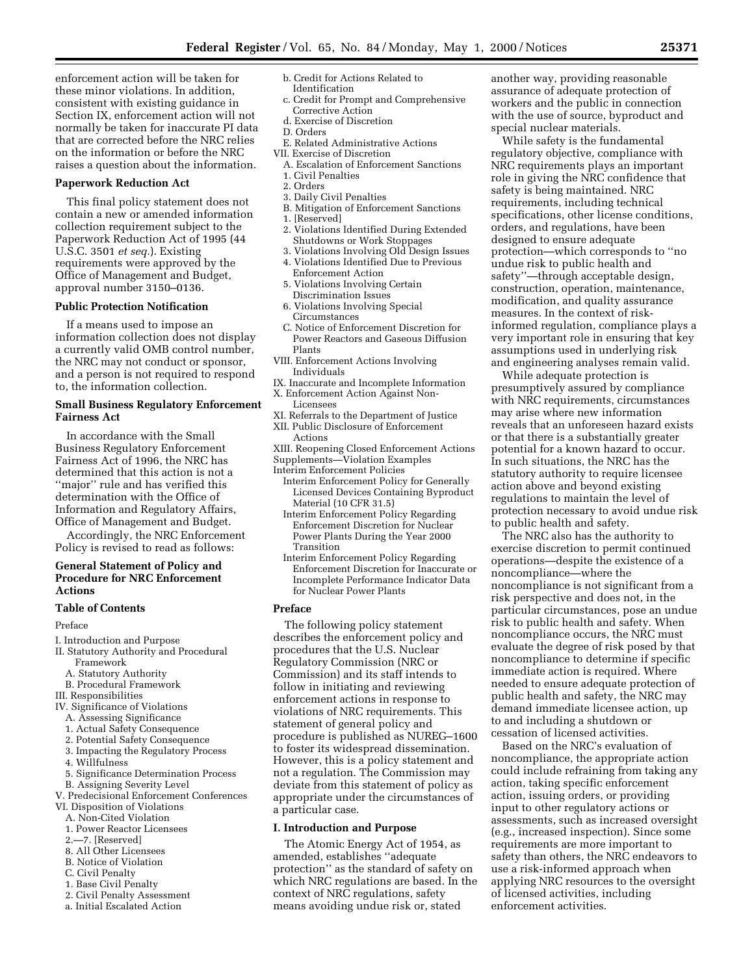enforcement action will be taken for these minor violations. In addition, consistent with existing guidance in Section IX, enforcement action will not normally be taken for inaccurate PI data that are corrected before the NRC relies on the information or before the NRC raises a question about the information.

### **Paperwork Reduction Act**

This final policy statement does not contain a new or amended information collection requirement subject to the Paperwork Reduction Act of 1995 (44 U.S.C. 3501 *et seq.*). Existing requirements were approved by the Office of Management and Budget, approval number 3150–0136.

### **Public Protection Notification**

If a means used to impose an information collection does not display a currently valid OMB control number, the NRC may not conduct or sponsor, and a person is not required to respond to, the information collection.

# **Small Business Regulatory Enforcement Fairness Act**

In accordance with the Small Business Regulatory Enforcement Fairness Act of 1996, the NRC has determined that this action is not a ''major'' rule and has verified this determination with the Office of Information and Regulatory Affairs, Office of Management and Budget.

Accordingly, the NRC Enforcement Policy is revised to read as follows:

# **General Statement of Policy and Procedure for NRC Enforcement Actions**

### **Table of Contents**

Preface

- I. Introduction and Purpose
- II. Statutory Authority and Procedural Framework
	- A. Statutory Authority
	- B. Procedural Framework
- III. Responsibilities
- IV. Significance of Violations
- A. Assessing Significance
- 1. Actual Safety Consequence
- 2. Potential Safety Consequence
- 3. Impacting the Regulatory Process
- 4. Willfulness
- 5. Significance Determination Process
- B. Assigning Severity Level
- V. Predecisional Enforcement Conferences
- VI. Disposition of Violations
	- A. Non-Cited Violation
	- 1. Power Reactor Licensees
	- 2.—7. [Reserved]
	- 8. All Other Licensees
	- B. Notice of Violation
	- C. Civil Penalty
	- 1. Base Civil Penalty
	-
	-
	- 2. Civil Penalty Assessment
	- a. Initial Escalated Action
- b. Credit for Actions Related to Identification
- c. Credit for Prompt and Comprehensive Corrective Action
- d. Exercise of Discretion
- D. Orders
- E. Related Administrative Actions
- VII. Exercise of Discretion
	- A. Escalation of Enforcement Sanctions
- 1. Civil Penalties 2. Orders
- 3. Daily Civil Penalties
- B. Mitigation of Enforcement Sanctions
- 1. [Reserved]
- 2. Violations Identified During Extended Shutdowns or Work Stoppages
- 3. Violations Involving Old Design Issues 4. Violations Identified Due to Previous
- Enforcement Action 5. Violations Involving Certain
- Discrimination Issues 6. Violations Involving Special Circumstances
- C. Notice of Enforcement Discretion for Power Reactors and Gaseous Diffusion Plants
- VIII. Enforcement Actions Involving Individuals
- IX. Inaccurate and Incomplete Information
- X. Enforcement Action Against Non-
- Licensees
- XI. Referrals to the Department of Justice XII. Public Disclosure of Enforcement
- Actions
- XIII. Reopening Closed Enforcement Actions
- Supplements—Violation Examples
- Interim Enforcement Policies Interim Enforcement Policy for Generally Licensed Devices Containing Byproduct Material (10 CFR 31.5)
	- Interim Enforcement Policy Regarding Enforcement Discretion for Nuclear Power Plants During the Year 2000 Transition
	- Interim Enforcement Policy Regarding Enforcement Discretion for Inaccurate or Incomplete Performance Indicator Data for Nuclear Power Plants

# **Preface**

The following policy statement describes the enforcement policy and procedures that the U.S. Nuclear Regulatory Commission (NRC or Commission) and its staff intends to follow in initiating and reviewing enforcement actions in response to violations of NRC requirements. This statement of general policy and procedure is published as NUREG–1600 to foster its widespread dissemination. However, this is a policy statement and not a regulation. The Commission may deviate from this statement of policy as appropriate under the circumstances of a particular case.

#### **I. Introduction and Purpose**

The Atomic Energy Act of 1954, as amended, establishes ''adequate protection'' as the standard of safety on which NRC regulations are based. In the context of NRC regulations, safety means avoiding undue risk or, stated

another way, providing reasonable assurance of adequate protection of workers and the public in connection with the use of source, byproduct and special nuclear materials.

While safety is the fundamental regulatory objective, compliance with NRC requirements plays an important role in giving the NRC confidence that safety is being maintained. NRC requirements, including technical specifications, other license conditions, orders, and regulations, have been designed to ensure adequate protection—which corresponds to ''no undue risk to public health and safety''—through acceptable design, construction, operation, maintenance, modification, and quality assurance measures. In the context of riskinformed regulation, compliance plays a very important role in ensuring that key assumptions used in underlying risk and engineering analyses remain valid.

While adequate protection is presumptively assured by compliance with NRC requirements, circumstances may arise where new information reveals that an unforeseen hazard exists or that there is a substantially greater potential for a known hazard to occur. In such situations, the NRC has the statutory authority to require licensee action above and beyond existing regulations to maintain the level of protection necessary to avoid undue risk to public health and safety.

The NRC also has the authority to exercise discretion to permit continued operations—despite the existence of a noncompliance—where the noncompliance is not significant from a risk perspective and does not, in the particular circumstances, pose an undue risk to public health and safety. When noncompliance occurs, the NRC must evaluate the degree of risk posed by that noncompliance to determine if specific immediate action is required. Where needed to ensure adequate protection of public health and safety, the NRC may demand immediate licensee action, up to and including a shutdown or cessation of licensed activities.

Based on the NRC's evaluation of noncompliance, the appropriate action could include refraining from taking any action, taking specific enforcement action, issuing orders, or providing input to other regulatory actions or assessments, such as increased oversight (e.g., increased inspection). Since some requirements are more important to safety than others, the NRC endeavors to use a risk-informed approach when applying NRC resources to the oversight of licensed activities, including enforcement activities.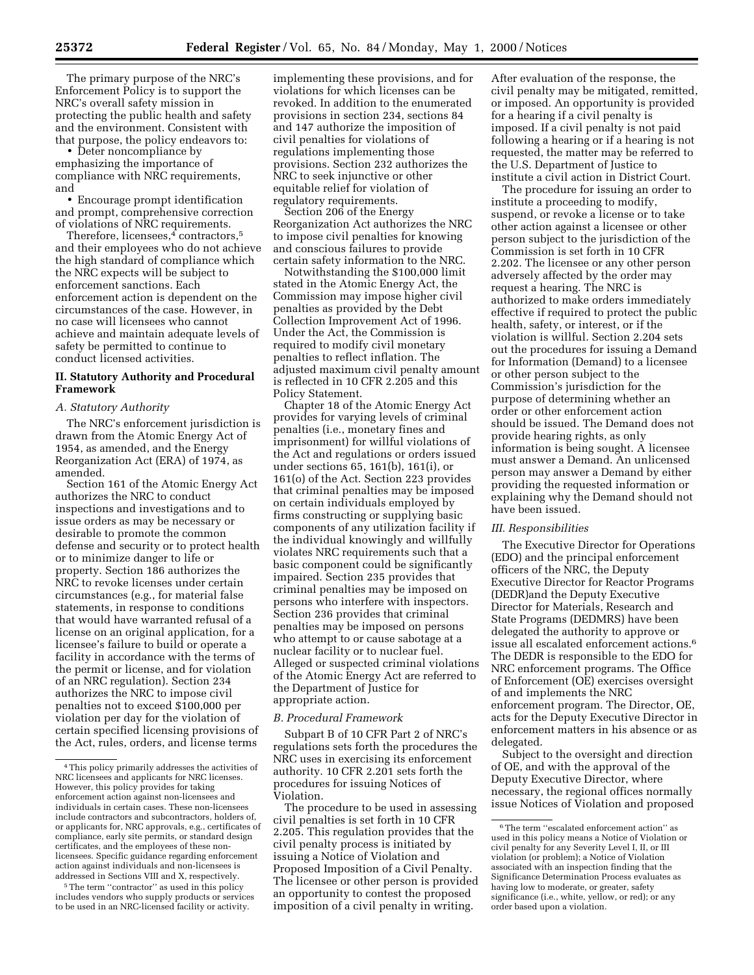The primary purpose of the NRC's Enforcement Policy is to support the NRC's overall safety mission in protecting the public health and safety and the environment. Consistent with that purpose, the policy endeavors to:

• Deter noncompliance by emphasizing the importance of compliance with NRC requirements, and

• Encourage prompt identification and prompt, comprehensive correction of violations of NRC requirements.

Therefore, licensees, $4$  contractors, $5$ and their employees who do not achieve the high standard of compliance which the NRC expects will be subject to enforcement sanctions. Each enforcement action is dependent on the circumstances of the case. However, in no case will licensees who cannot achieve and maintain adequate levels of safety be permitted to continue to conduct licensed activities.

# **II. Statutory Authority and Procedural Framework**

### *A. Statutory Authority*

The NRC's enforcement jurisdiction is drawn from the Atomic Energy Act of 1954, as amended, and the Energy Reorganization Act (ERA) of 1974, as amended.

Section 161 of the Atomic Energy Act authorizes the NRC to conduct inspections and investigations and to issue orders as may be necessary or desirable to promote the common defense and security or to protect health or to minimize danger to life or property. Section 186 authorizes the NRC to revoke licenses under certain circumstances (e.g., for material false statements, in response to conditions that would have warranted refusal of a license on an original application, for a licensee's failure to build or operate a facility in accordance with the terms of the permit or license, and for violation of an NRC regulation). Section 234 authorizes the NRC to impose civil penalties not to exceed \$100,000 per violation per day for the violation of certain specified licensing provisions of the Act, rules, orders, and license terms

<sup>5</sup>The term "contractor" as used in this policy includes vendors who supply products or services to be used in an NRC-licensed facility or activity.

implementing these provisions, and for violations for which licenses can be revoked. In addition to the enumerated provisions in section 234, sections 84 and 147 authorize the imposition of civil penalties for violations of regulations implementing those provisions. Section 232 authorizes the NRC to seek injunctive or other equitable relief for violation of regulatory requirements.

Section 206 of the Energy Reorganization Act authorizes the NRC to impose civil penalties for knowing and conscious failures to provide certain safety information to the NRC.

Notwithstanding the \$100,000 limit stated in the Atomic Energy Act, the Commission may impose higher civil penalties as provided by the Debt Collection Improvement Act of 1996. Under the Act, the Commission is required to modify civil monetary penalties to reflect inflation. The adjusted maximum civil penalty amount is reflected in 10 CFR 2.205 and this Policy Statement.

Chapter 18 of the Atomic Energy Act provides for varying levels of criminal penalties (i.e., monetary fines and imprisonment) for willful violations of the Act and regulations or orders issued under sections 65, 161(b), 161(i), or 161(o) of the Act. Section 223 provides that criminal penalties may be imposed on certain individuals employed by firms constructing or supplying basic components of any utilization facility if the individual knowingly and willfully violates NRC requirements such that a basic component could be significantly impaired. Section 235 provides that criminal penalties may be imposed on persons who interfere with inspectors. Section 236 provides that criminal penalties may be imposed on persons who attempt to or cause sabotage at a nuclear facility or to nuclear fuel. Alleged or suspected criminal violations of the Atomic Energy Act are referred to the Department of Justice for appropriate action.

### *B. Procedural Framework*

Subpart B of 10 CFR Part 2 of NRC's regulations sets forth the procedures the NRC uses in exercising its enforcement authority. 10 CFR 2.201 sets forth the procedures for issuing Notices of Violation.

The procedure to be used in assessing civil penalties is set forth in 10 CFR 2.205. This regulation provides that the civil penalty process is initiated by issuing a Notice of Violation and Proposed Imposition of a Civil Penalty. The licensee or other person is provided an opportunity to contest the proposed imposition of a civil penalty in writing.

After evaluation of the response, the civil penalty may be mitigated, remitted, or imposed. An opportunity is provided for a hearing if a civil penalty is imposed. If a civil penalty is not paid following a hearing or if a hearing is not requested, the matter may be referred to the U.S. Department of Justice to institute a civil action in District Court.

The procedure for issuing an order to institute a proceeding to modify, suspend, or revoke a license or to take other action against a licensee or other person subject to the jurisdiction of the Commission is set forth in 10 CFR 2.202. The licensee or any other person adversely affected by the order may request a hearing. The NRC is authorized to make orders immediately effective if required to protect the public health, safety, or interest, or if the violation is willful. Section 2.204 sets out the procedures for issuing a Demand for Information (Demand) to a licensee or other person subject to the Commission's jurisdiction for the purpose of determining whether an order or other enforcement action should be issued. The Demand does not provide hearing rights, as only information is being sought. A licensee must answer a Demand. An unlicensed person may answer a Demand by either providing the requested information or explaining why the Demand should not have been issued.

#### *III. Responsibilities*

The Executive Director for Operations (EDO) and the principal enforcement officers of the NRC, the Deputy Executive Director for Reactor Programs (DEDR)and the Deputy Executive Director for Materials, Research and State Programs (DEDMRS) have been delegated the authority to approve or issue all escalated enforcement actions.6 The DEDR is responsible to the EDO for NRC enforcement programs. The Office of Enforcement (OE) exercises oversight of and implements the NRC enforcement program. The Director, OE, acts for the Deputy Executive Director in enforcement matters in his absence or as delegated.

Subject to the oversight and direction of OE, and with the approval of the Deputy Executive Director, where necessary, the regional offices normally issue Notices of Violation and proposed

<sup>4</sup>This policy primarily addresses the activities of NRC licensees and applicants for NRC licenses. However, this policy provides for taking enforcement action against non-licensees and individuals in certain cases. These non-licensees include contractors and subcontractors, holders of, or applicants for, NRC approvals, e.g., certificates of compliance, early site permits, or standard design certificates, and the employees of these nonlicensees. Specific guidance regarding enforcement action against individuals and non-licensees is addressed in Sections VIII and X, respectively.

<sup>6</sup>The term ''escalated enforcement action'' as used in this policy means a Notice of Violation or civil penalty for any Severity Level I, II, or III violation (or problem); a Notice of Violation associated with an inspection finding that the Significance Determination Process evaluates as having low to moderate, or greater, safety significance (i.e., white, yellow, or red); or any order based upon a violation.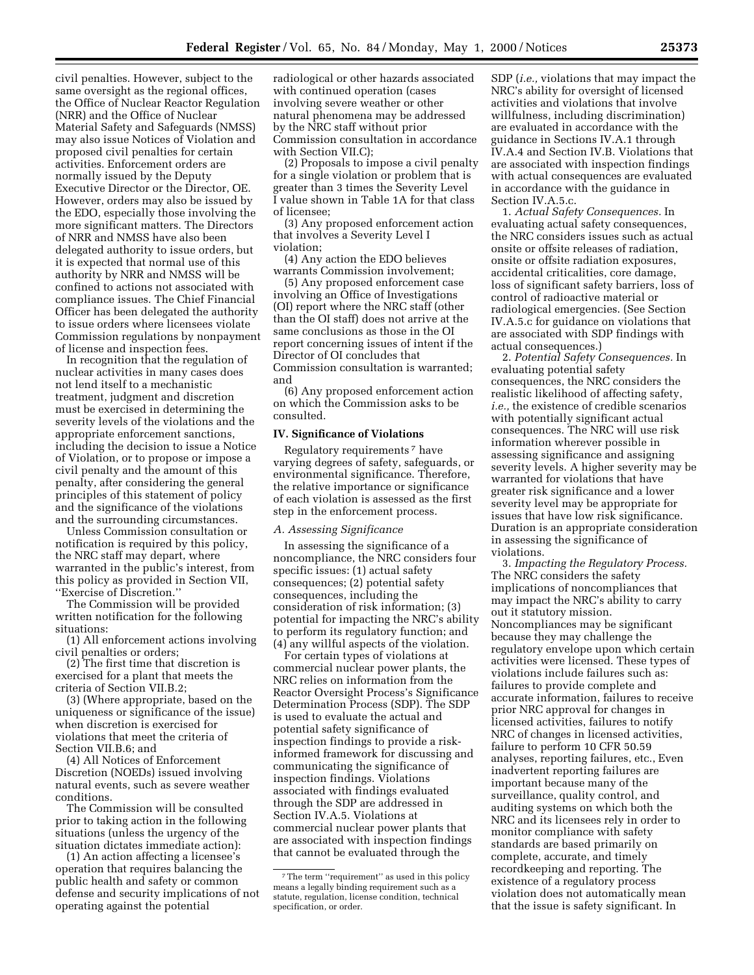civil penalties. However, subject to the same oversight as the regional offices, the Office of Nuclear Reactor Regulation (NRR) and the Office of Nuclear Material Safety and Safeguards (NMSS) may also issue Notices of Violation and proposed civil penalties for certain activities. Enforcement orders are normally issued by the Deputy Executive Director or the Director, OE. However, orders may also be issued by the EDO, especially those involving the more significant matters. The Directors of NRR and NMSS have also been delegated authority to issue orders, but it is expected that normal use of this authority by NRR and NMSS will be confined to actions not associated with compliance issues. The Chief Financial Officer has been delegated the authority to issue orders where licensees violate Commission regulations by nonpayment of license and inspection fees.

In recognition that the regulation of nuclear activities in many cases does not lend itself to a mechanistic treatment, judgment and discretion must be exercised in determining the severity levels of the violations and the appropriate enforcement sanctions, including the decision to issue a Notice of Violation, or to propose or impose a civil penalty and the amount of this penalty, after considering the general principles of this statement of policy and the significance of the violations and the surrounding circumstances.

Unless Commission consultation or notification is required by this policy, the NRC staff may depart, where warranted in the public's interest, from this policy as provided in Section VII, ''Exercise of Discretion.''

The Commission will be provided written notification for the following situations:

(1) All enforcement actions involving civil penalties or orders;

(2) The first time that discretion is exercised for a plant that meets the criteria of Section VII.B.2;

(3) (Where appropriate, based on the uniqueness or significance of the issue) when discretion is exercised for violations that meet the criteria of Section VII.B.6; and

(4) All Notices of Enforcement Discretion (NOEDs) issued involving natural events, such as severe weather conditions.

The Commission will be consulted prior to taking action in the following situations (unless the urgency of the situation dictates immediate action):

(1) An action affecting a licensee's operation that requires balancing the public health and safety or common defense and security implications of not operating against the potential

radiological or other hazards associated with continued operation (cases involving severe weather or other natural phenomena may be addressed by the NRC staff without prior Commission consultation in accordance with Section VII.C);

(2) Proposals to impose a civil penalty for a single violation or problem that is greater than 3 times the Severity Level I value shown in Table 1A for that class of licensee;

(3) Any proposed enforcement action that involves a Severity Level I violation;

(4) Any action the EDO believes warrants Commission involvement;

(5) Any proposed enforcement case involving an Office of Investigations (OI) report where the NRC staff (other than the OI staff) does not arrive at the same conclusions as those in the OI report concerning issues of intent if the Director of OI concludes that Commission consultation is warranted; and

(6) Any proposed enforcement action on which the Commission asks to be consulted.

### **IV. Significance of Violations**

Regulatory requirements 7 have varying degrees of safety, safeguards, or environmental significance. Therefore, the relative importance or significance of each violation is assessed as the first step in the enforcement process.

#### *A. Assessing Significance*

In assessing the significance of a noncompliance, the NRC considers four specific issues: (1) actual safety consequences; (2) potential safety consequences, including the consideration of risk information; (3) potential for impacting the NRC's ability to perform its regulatory function; and (4) any willful aspects of the violation.

For certain types of violations at commercial nuclear power plants, the NRC relies on information from the Reactor Oversight Process's Significance Determination Process (SDP). The SDP is used to evaluate the actual and potential safety significance of inspection findings to provide a riskinformed framework for discussing and communicating the significance of inspection findings. Violations associated with findings evaluated through the SDP are addressed in Section IV.A.5. Violations at commercial nuclear power plants that are associated with inspection findings that cannot be evaluated through the

SDP (*i.e.,* violations that may impact the NRC's ability for oversight of licensed activities and violations that involve willfulness, including discrimination) are evaluated in accordance with the guidance in Sections IV.A.1 through IV.A.4 and Section IV.B. Violations that are associated with inspection findings with actual consequences are evaluated in accordance with the guidance in Section IV.A.5.c.

1. *Actual Safety Consequences.* In evaluating actual safety consequences, the NRC considers issues such as actual onsite or offsite releases of radiation, onsite or offsite radiation exposures, accidental criticalities, core damage, loss of significant safety barriers, loss of control of radioactive material or radiological emergencies. (See Section IV.A.5.c for guidance on violations that are associated with SDP findings with actual consequences.)

2. *Potential Safety Consequences.* In evaluating potential safety consequences, the NRC considers the realistic likelihood of affecting safety, *i.e.,* the existence of credible scenarios with potentially significant actual consequences. The NRC will use risk information wherever possible in assessing significance and assigning severity levels. A higher severity may be warranted for violations that have greater risk significance and a lower severity level may be appropriate for issues that have low risk significance. Duration is an appropriate consideration in assessing the significance of violations.

3. *Impacting the Regulatory Process.* The NRC considers the safety implications of noncompliances that may impact the NRC's ability to carry out it statutory mission. Noncompliances may be significant because they may challenge the regulatory envelope upon which certain activities were licensed. These types of violations include failures such as: failures to provide complete and accurate information, failures to receive prior NRC approval for changes in licensed activities, failures to notify NRC of changes in licensed activities, failure to perform 10 CFR 50.59 analyses, reporting failures, etc., Even inadvertent reporting failures are important because many of the surveillance, quality control, and auditing systems on which both the NRC and its licensees rely in order to monitor compliance with safety standards are based primarily on complete, accurate, and timely recordkeeping and reporting. The existence of a regulatory process violation does not automatically mean that the issue is safety significant. In

<sup>7</sup>The term ''requirement'' as used in this policy means a legally binding requirement such as a statute, regulation, license condition, technical specification, or order.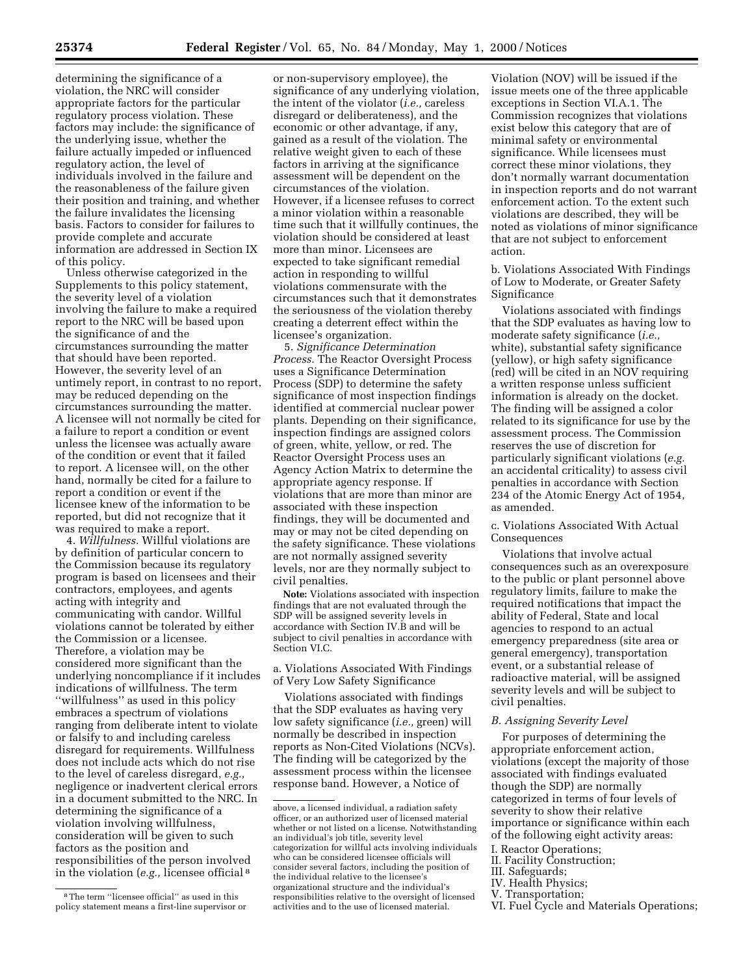determining the significance of a violation, the NRC will consider appropriate factors for the particular regulatory process violation. These factors may include: the significance of the underlying issue, whether the failure actually impeded or influenced regulatory action, the level of individuals involved in the failure and the reasonableness of the failure given their position and training, and whether the failure invalidates the licensing basis. Factors to consider for failures to provide complete and accurate information are addressed in Section IX of this policy.

Unless otherwise categorized in the Supplements to this policy statement, the severity level of a violation involving the failure to make a required report to the NRC will be based upon the significance of and the circumstances surrounding the matter that should have been reported. However, the severity level of an untimely report, in contrast to no report, may be reduced depending on the circumstances surrounding the matter. A licensee will not normally be cited for a failure to report a condition or event unless the licensee was actually aware of the condition or event that it failed to report. A licensee will, on the other hand, normally be cited for a failure to report a condition or event if the licensee knew of the information to be reported, but did not recognize that it was required to make a report.

4. *Willfulness.* Willful violations are by definition of particular concern to the Commission because its regulatory program is based on licensees and their contractors, employees, and agents acting with integrity and communicating with candor. Willful violations cannot be tolerated by either the Commission or a licensee. Therefore, a violation may be considered more significant than the underlying noncompliance if it includes indications of willfulness. The term ''willfulness'' as used in this policy embraces a spectrum of violations ranging from deliberate intent to violate or falsify to and including careless disregard for requirements. Willfulness does not include acts which do not rise to the level of careless disregard, *e.g.,* negligence or inadvertent clerical errors in a document submitted to the NRC. In determining the significance of a violation involving willfulness, consideration will be given to such factors as the position and responsibilities of the person involved in the violation (*e.g.,* licensee official 8

or non-supervisory employee), the significance of any underlying violation, the intent of the violator (*i.e.,* careless disregard or deliberateness), and the economic or other advantage, if any, gained as a result of the violation. The relative weight given to each of these factors in arriving at the significance assessment will be dependent on the circumstances of the violation. However, if a licensee refuses to correct a minor violation within a reasonable time such that it willfully continues, the violation should be considered at least more than minor. Licensees are expected to take significant remedial action in responding to willful violations commensurate with the circumstances such that it demonstrates the seriousness of the violation thereby creating a deterrent effect within the licensee's organization.

5. *Significance Determination Process.* The Reactor Oversight Process uses a Significance Determination Process (SDP) to determine the safety significance of most inspection findings identified at commercial nuclear power plants. Depending on their significance, inspection findings are assigned colors of green, white, yellow, or red. The Reactor Oversight Process uses an Agency Action Matrix to determine the appropriate agency response. If violations that are more than minor are associated with these inspection findings, they will be documented and may or may not be cited depending on the safety significance. These violations are not normally assigned severity levels, nor are they normally subject to civil penalties.

**Note:** Violations associated with inspection findings that are not evaluated through the SDP will be assigned severity levels in accordance with Section IV.B and will be subject to civil penalties in accordance with Section VI.C.

a. Violations Associated With Findings of Very Low Safety Significance

Violations associated with findings that the SDP evaluates as having very low safety significance (*i.e.,* green) will normally be described in inspection reports as Non-Cited Violations (NCVs). The finding will be categorized by the assessment process within the licensee response band. However, a Notice of

Violation (NOV) will be issued if the issue meets one of the three applicable exceptions in Section VI.A.1. The Commission recognizes that violations exist below this category that are of minimal safety or environmental significance. While licensees must correct these minor violations, they don't normally warrant documentation in inspection reports and do not warrant enforcement action. To the extent such violations are described, they will be noted as violations of minor significance that are not subject to enforcement action.

b. Violations Associated With Findings of Low to Moderate, or Greater Safety Significance

Violations associated with findings that the SDP evaluates as having low to moderate safety significance (*i.e.,* white), substantial safety significance (yellow), or high safety significance (red) will be cited in an NOV requiring a written response unless sufficient information is already on the docket. The finding will be assigned a color related to its significance for use by the assessment process. The Commission reserves the use of discretion for particularly significant violations (*e.g.* an accidental criticality) to assess civil penalties in accordance with Section 234 of the Atomic Energy Act of 1954, as amended.

c. Violations Associated With Actual Consequences

Violations that involve actual consequences such as an overexposure to the public or plant personnel above regulatory limits, failure to make the required notifications that impact the ability of Federal, State and local agencies to respond to an actual emergency preparedness (site area or general emergency), transportation event, or a substantial release of radioactive material, will be assigned severity levels and will be subject to civil penalties.

## *B. Assigning Severity Level*

For purposes of determining the appropriate enforcement action, violations (except the majority of those associated with findings evaluated though the SDP) are normally categorized in terms of four levels of severity to show their relative importance or significance within each of the following eight activity areas:

- I. Reactor Operations;
- II. Facility Construction;
- III. Safeguards;
- IV. Health Physics;
- V. Transportation;
- VI. Fuel Cycle and Materials Operations;

<sup>8</sup>The term ''licensee official'' as used in this policy statement means a first-line supervisor or

above, a licensed individual, a radiation safety officer, or an authorized user of licensed material whether or not listed on a license. Notwithstanding an individual's job title, severity level categorization for willful acts involving individuals who can be considered licensee officials will consider several factors, including the position of the individual relative to the licensee's organizational structure and the individual's responsibilities relative to the oversight of licensed activities and to the use of licensed material.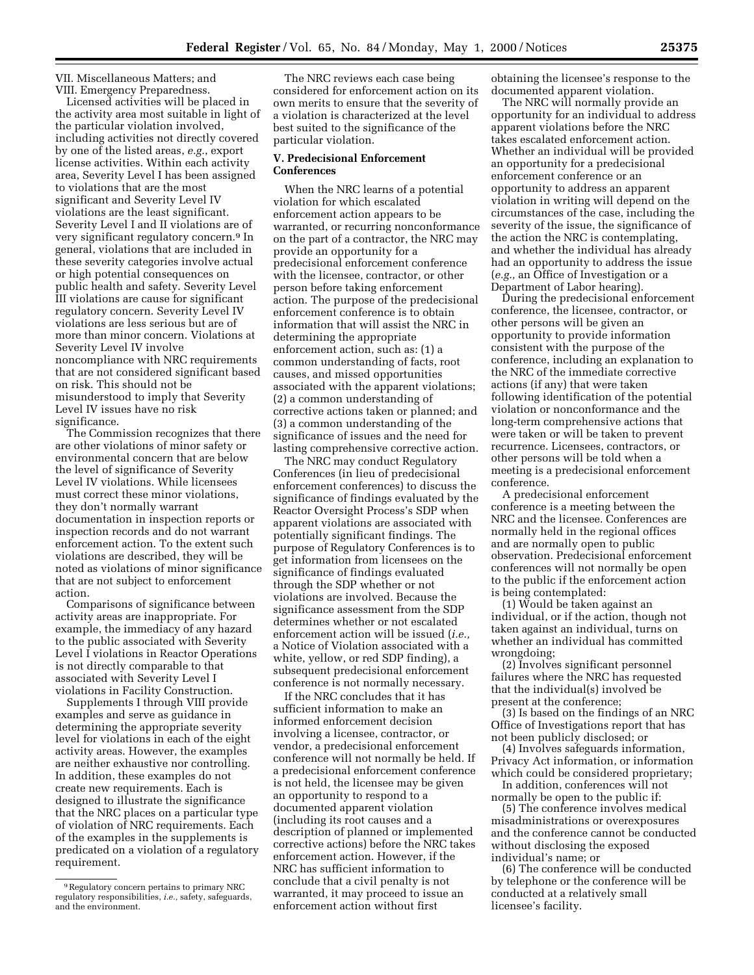VII. Miscellaneous Matters; and VIII. Emergency Preparedness.

Licensed activities will be placed in the activity area most suitable in light of the particular violation involved, including activities not directly covered by one of the listed areas, *e.g.*, export license activities. Within each activity area, Severity Level I has been assigned to violations that are the most significant and Severity Level IV violations are the least significant. Severity Level I and II violations are of very significant regulatory concern.9 In general, violations that are included in these severity categories involve actual or high potential consequences on public health and safety. Severity Level III violations are cause for significant regulatory concern. Severity Level IV violations are less serious but are of more than minor concern. Violations at Severity Level IV involve noncompliance with NRC requirements that are not considered significant based on risk. This should not be misunderstood to imply that Severity Level IV issues have no risk significance.

The Commission recognizes that there are other violations of minor safety or environmental concern that are below the level of significance of Severity Level IV violations. While licensees must correct these minor violations, they don't normally warrant documentation in inspection reports or inspection records and do not warrant enforcement action. To the extent such violations are described, they will be noted as violations of minor significance that are not subject to enforcement action.

Comparisons of significance between activity areas are inappropriate. For example, the immediacy of any hazard to the public associated with Severity Level I violations in Reactor Operations is not directly comparable to that associated with Severity Level I violations in Facility Construction.

Supplements I through VIII provide examples and serve as guidance in determining the appropriate severity level for violations in each of the eight activity areas. However, the examples are neither exhaustive nor controlling. In addition, these examples do not create new requirements. Each is designed to illustrate the significance that the NRC places on a particular type of violation of NRC requirements. Each of the examples in the supplements is predicated on a violation of a regulatory requirement.

The NRC reviews each case being considered for enforcement action on its own merits to ensure that the severity of a violation is characterized at the level best suited to the significance of the particular violation.

### **V. Predecisional Enforcement Conferences**

When the NRC learns of a potential violation for which escalated enforcement action appears to be warranted, or recurring nonconformance on the part of a contractor, the NRC may provide an opportunity for a predecisional enforcement conference with the licensee, contractor, or other person before taking enforcement action. The purpose of the predecisional enforcement conference is to obtain information that will assist the NRC in determining the appropriate enforcement action, such as: (1) a common understanding of facts, root causes, and missed opportunities associated with the apparent violations; (2) a common understanding of corrective actions taken or planned; and (3) a common understanding of the significance of issues and the need for lasting comprehensive corrective action.

The NRC may conduct Regulatory Conferences (in lieu of predecisional enforcement conferences) to discuss the significance of findings evaluated by the Reactor Oversight Process's SDP when apparent violations are associated with potentially significant findings. The purpose of Regulatory Conferences is to get information from licensees on the significance of findings evaluated through the SDP whether or not violations are involved. Because the significance assessment from the SDP determines whether or not escalated enforcement action will be issued (*i.e.,* a Notice of Violation associated with a white, yellow, or red SDP finding), a subsequent predecisional enforcement conference is not normally necessary.

If the NRC concludes that it has sufficient information to make an informed enforcement decision involving a licensee, contractor, or vendor, a predecisional enforcement conference will not normally be held. If a predecisional enforcement conference is not held, the licensee may be given an opportunity to respond to a documented apparent violation (including its root causes and a description of planned or implemented corrective actions) before the NRC takes enforcement action. However, if the NRC has sufficient information to conclude that a civil penalty is not warranted, it may proceed to issue an enforcement action without first

obtaining the licensee's response to the documented apparent violation.

The NRC will normally provide an opportunity for an individual to address apparent violations before the NRC takes escalated enforcement action. Whether an individual will be provided an opportunity for a predecisional enforcement conference or an opportunity to address an apparent violation in writing will depend on the circumstances of the case, including the severity of the issue, the significance of the action the NRC is contemplating, and whether the individual has already had an opportunity to address the issue (*e.g.,* an Office of Investigation or a Department of Labor hearing).

During the predecisional enforcement conference, the licensee, contractor, or other persons will be given an opportunity to provide information consistent with the purpose of the conference, including an explanation to the NRC of the immediate corrective actions (if any) that were taken following identification of the potential violation or nonconformance and the long-term comprehensive actions that were taken or will be taken to prevent recurrence. Licensees, contractors, or other persons will be told when a meeting is a predecisional enforcement conference.

A predecisional enforcement conference is a meeting between the NRC and the licensee. Conferences are normally held in the regional offices and are normally open to public observation. Predecisional enforcement conferences will not normally be open to the public if the enforcement action is being contemplated:

(1) Would be taken against an individual, or if the action, though not taken against an individual, turns on whether an individual has committed wrongdoing;

(2) Involves significant personnel failures where the NRC has requested that the individual(s) involved be present at the conference;

(3) Is based on the findings of an NRC Office of Investigations report that has not been publicly disclosed; or

(4) Involves safeguards information, Privacy Act information, or information which could be considered proprietary;

In addition, conferences will not normally be open to the public if:

(5) The conference involves medical misadministrations or overexposures and the conference cannot be conducted without disclosing the exposed individual's name; or

(6) The conference will be conducted by telephone or the conference will be conducted at a relatively small licensee's facility.

<sup>9</sup>Regulatory concern pertains to primary NRC regulatory responsibilities, *i.e.,* safety, safeguards, and the environment.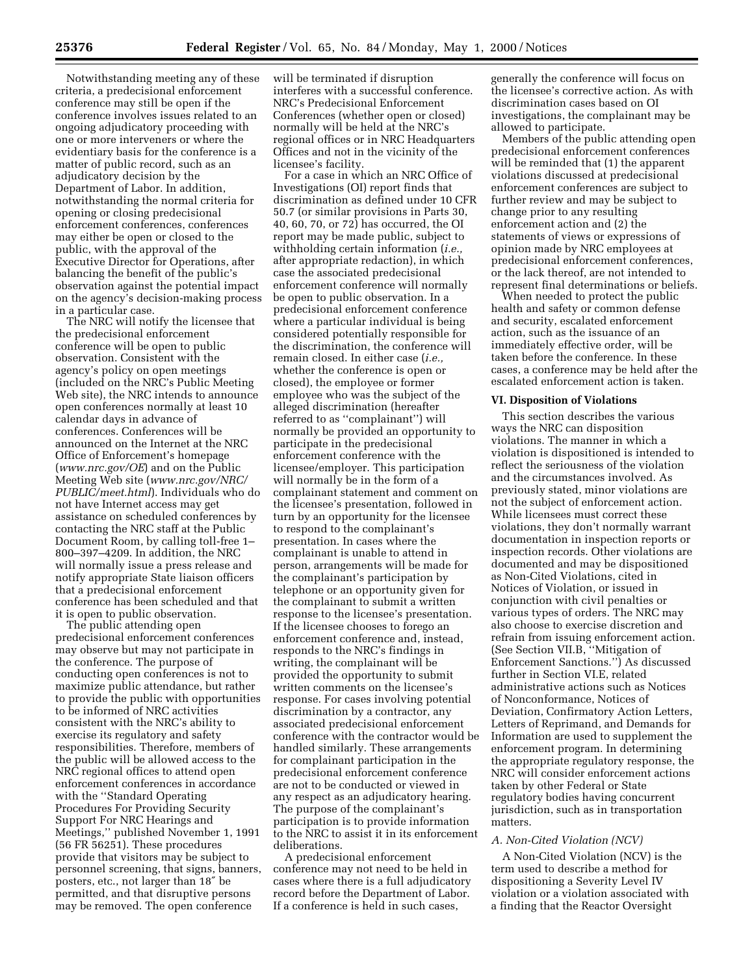Notwithstanding meeting any of these criteria, a predecisional enforcement conference may still be open if the conference involves issues related to an ongoing adjudicatory proceeding with one or more interveners or where the evidentiary basis for the conference is a matter of public record, such as an adjudicatory decision by the Department of Labor. In addition, notwithstanding the normal criteria for opening or closing predecisional enforcement conferences, conferences may either be open or closed to the public, with the approval of the Executive Director for Operations, after balancing the benefit of the public's observation against the potential impact on the agency's decision-making process in a particular case.

The NRC will notify the licensee that the predecisional enforcement conference will be open to public observation. Consistent with the agency's policy on open meetings (included on the NRC's Public Meeting Web site), the NRC intends to announce open conferences normally at least 10 calendar days in advance of conferences. Conferences will be announced on the Internet at the NRC Office of Enforcement's homepage (*www.nrc.gov/OE*) and on the Public Meeting Web site (*www.nrc.gov/NRC/ PUBLIC/meet.html*). Individuals who do not have Internet access may get assistance on scheduled conferences by contacting the NRC staff at the Public Document Room, by calling toll-free 1– 800–397–4209. In addition, the NRC will normally issue a press release and notify appropriate State liaison officers that a predecisional enforcement conference has been scheduled and that it is open to public observation.

The public attending open predecisional enforcement conferences may observe but may not participate in the conference. The purpose of conducting open conferences is not to maximize public attendance, but rather to provide the public with opportunities to be informed of NRC activities consistent with the NRC's ability to exercise its regulatory and safety responsibilities. Therefore, members of the public will be allowed access to the NRC regional offices to attend open enforcement conferences in accordance with the ''Standard Operating Procedures For Providing Security Support For NRC Hearings and Meetings,'' published November 1, 1991 (56 FR 56251). These procedures provide that visitors may be subject to personnel screening, that signs, banners, posters, etc., not larger than 18″ be permitted, and that disruptive persons may be removed. The open conference

will be terminated if disruption interferes with a successful conference. NRC's Predecisional Enforcement Conferences (whether open or closed) normally will be held at the NRC's regional offices or in NRC Headquarters Offices and not in the vicinity of the licensee's facility.

For a case in which an NRC Office of Investigations (OI) report finds that discrimination as defined under 10 CFR 50.7 (or similar provisions in Parts 30, 40, 60, 70, or 72) has occurred, the OI report may be made public, subject to withholding certain information (*i.e.,* after appropriate redaction), in which case the associated predecisional enforcement conference will normally be open to public observation. In a predecisional enforcement conference where a particular individual is being considered potentially responsible for the discrimination, the conference will remain closed. In either case (*i.e.,* whether the conference is open or closed), the employee or former employee who was the subject of the alleged discrimination (hereafter referred to as ''complainant'') will normally be provided an opportunity to participate in the predecisional enforcement conference with the licensee/employer. This participation will normally be in the form of a complainant statement and comment on the licensee's presentation, followed in turn by an opportunity for the licensee to respond to the complainant's presentation. In cases where the complainant is unable to attend in person, arrangements will be made for the complainant's participation by telephone or an opportunity given for the complainant to submit a written response to the licensee's presentation. If the licensee chooses to forego an enforcement conference and, instead, responds to the NRC's findings in writing, the complainant will be provided the opportunity to submit written comments on the licensee's response. For cases involving potential discrimination by a contractor, any associated predecisional enforcement conference with the contractor would be handled similarly. These arrangements for complainant participation in the predecisional enforcement conference are not to be conducted or viewed in any respect as an adjudicatory hearing. The purpose of the complainant's participation is to provide information to the NRC to assist it in its enforcement deliberations.

A predecisional enforcement conference may not need to be held in cases where there is a full adjudicatory record before the Department of Labor. If a conference is held in such cases,

generally the conference will focus on the licensee's corrective action. As with discrimination cases based on OI investigations, the complainant may be allowed to participate.

Members of the public attending open predecisional enforcement conferences will be reminded that (1) the apparent violations discussed at predecisional enforcement conferences are subject to further review and may be subject to change prior to any resulting enforcement action and (2) the statements of views or expressions of opinion made by NRC employees at predecisional enforcement conferences, or the lack thereof, are not intended to represent final determinations or beliefs.

When needed to protect the public health and safety or common defense and security, escalated enforcement action, such as the issuance of an immediately effective order, will be taken before the conference. In these cases, a conference may be held after the escalated enforcement action is taken.

#### **VI. Disposition of Violations**

This section describes the various ways the NRC can disposition violations. The manner in which a violation is dispositioned is intended to reflect the seriousness of the violation and the circumstances involved. As previously stated, minor violations are not the subject of enforcement action. While licensees must correct these violations, they don't normally warrant documentation in inspection reports or inspection records. Other violations are documented and may be dispositioned as Non-Cited Violations, cited in Notices of Violation, or issued in conjunction with civil penalties or various types of orders. The NRC may also choose to exercise discretion and refrain from issuing enforcement action. (See Section VII.B, ''Mitigation of Enforcement Sanctions.'') As discussed further in Section VI.E, related administrative actions such as Notices of Nonconformance, Notices of Deviation, Confirmatory Action Letters, Letters of Reprimand, and Demands for Information are used to supplement the enforcement program. In determining the appropriate regulatory response, the NRC will consider enforcement actions taken by other Federal or State regulatory bodies having concurrent jurisdiction, such as in transportation matters.

#### *A. Non-Cited Violation (NCV)*

A Non-Cited Violation (NCV) is the term used to describe a method for dispositioning a Severity Level IV violation or a violation associated with a finding that the Reactor Oversight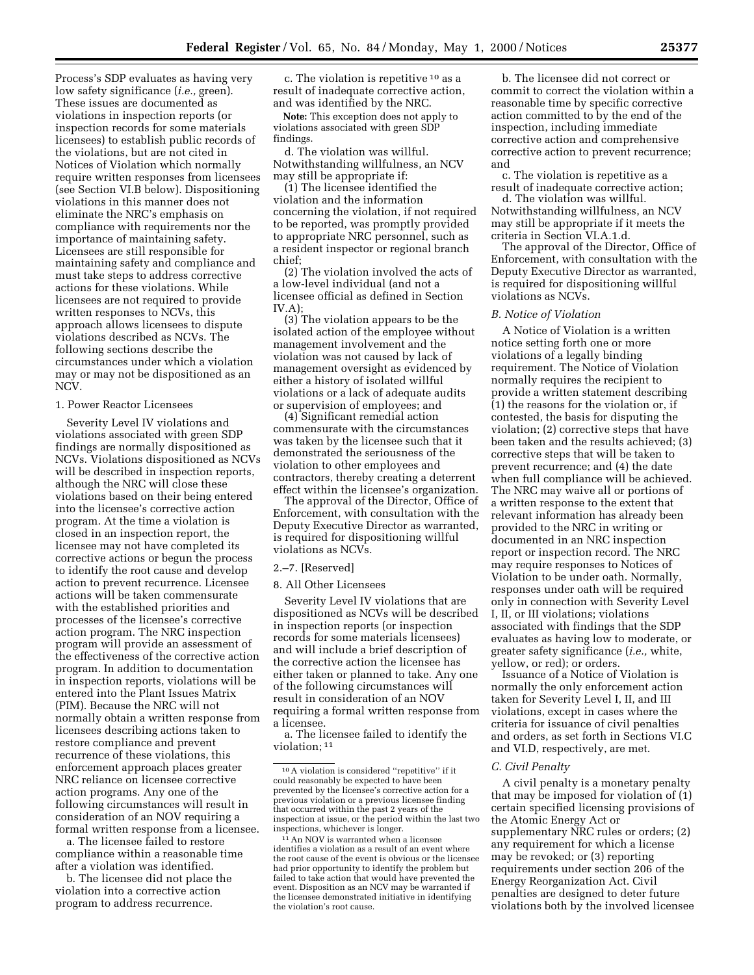Process's SDP evaluates as having very low safety significance (*i.e.,* green). These issues are documented as violations in inspection reports (or inspection records for some materials licensees) to establish public records of the violations, but are not cited in Notices of Violation which normally require written responses from licensees (see Section VI.B below). Dispositioning violations in this manner does not eliminate the NRC's emphasis on compliance with requirements nor the importance of maintaining safety. Licensees are still responsible for maintaining safety and compliance and must take steps to address corrective actions for these violations. While licensees are not required to provide written responses to NCVs, this approach allows licensees to dispute violations described as NCVs. The following sections describe the circumstances under which a violation may or may not be dispositioned as an NCV.

#### 1. Power Reactor Licensees

Severity Level IV violations and violations associated with green SDP findings are normally dispositioned as NCVs. Violations dispositioned as NCVs will be described in inspection reports, although the NRC will close these violations based on their being entered into the licensee's corrective action program. At the time a violation is closed in an inspection report, the licensee may not have completed its corrective actions or begun the process to identify the root cause and develop action to prevent recurrence. Licensee actions will be taken commensurate with the established priorities and processes of the licensee's corrective action program. The NRC inspection program will provide an assessment of the effectiveness of the corrective action program. In addition to documentation in inspection reports, violations will be entered into the Plant Issues Matrix (PIM). Because the NRC will not normally obtain a written response from licensees describing actions taken to restore compliance and prevent recurrence of these violations, this enforcement approach places greater NRC reliance on licensee corrective action programs. Any one of the following circumstances will result in consideration of an NOV requiring a formal written response from a licensee.

a. The licensee failed to restore compliance within a reasonable time after a violation was identified.

b. The licensee did not place the violation into a corrective action program to address recurrence.

c. The violation is repetitive 10 as a result of inadequate corrective action, and was identified by the NRC.

**Note:** This exception does not apply to violations associated with green SDP findings.

d. The violation was willful. Notwithstanding willfulness, an NCV may still be appropriate if:

(1) The licensee identified the violation and the information concerning the violation, if not required to be reported, was promptly provided to appropriate NRC personnel, such as a resident inspector or regional branch chief;

(2) The violation involved the acts of a low-level individual (and not a licensee official as defined in Section IV.A) $\cdot$ 

(3) The violation appears to be the isolated action of the employee without management involvement and the violation was not caused by lack of management oversight as evidenced by either a history of isolated willful violations or a lack of adequate audits or supervision of employees; and

(4) Significant remedial action commensurate with the circumstances was taken by the licensee such that it demonstrated the seriousness of the violation to other employees and contractors, thereby creating a deterrent effect within the licensee's organization.

The approval of the Director, Office of Enforcement, with consultation with the Deputy Executive Director as warranted, is required for dispositioning willful violations as NCVs.

#### 2.–7. [Reserved]

#### 8. All Other Licensees

Severity Level IV violations that are dispositioned as NCVs will be described in inspection reports (or inspection records for some materials licensees) and will include a brief description of the corrective action the licensee has either taken or planned to take. Any one of the following circumstances will result in consideration of an NOV requiring a formal written response from a licensee.

a. The licensee failed to identify the violation; 11

b. The licensee did not correct or commit to correct the violation within a reasonable time by specific corrective action committed to by the end of the inspection, including immediate corrective action and comprehensive corrective action to prevent recurrence; and

c. The violation is repetitive as a result of inadequate corrective action;

d. The violation was willful. Notwithstanding willfulness, an NCV may still be appropriate if it meets the criteria in Section VI.A.1.d.

The approval of the Director, Office of Enforcement, with consultation with the Deputy Executive Director as warranted, is required for dispositioning willful violations as NCVs.

#### *B. Notice of Violation*

A Notice of Violation is a written notice setting forth one or more violations of a legally binding requirement. The Notice of Violation normally requires the recipient to provide a written statement describing (1) the reasons for the violation or, if contested, the basis for disputing the violation; (2) corrective steps that have been taken and the results achieved; (3) corrective steps that will be taken to prevent recurrence; and (4) the date when full compliance will be achieved. The NRC may waive all or portions of a written response to the extent that relevant information has already been provided to the NRC in writing or documented in an NRC inspection report or inspection record. The NRC may require responses to Notices of Violation to be under oath. Normally, responses under oath will be required only in connection with Severity Level I, II, or III violations; violations associated with findings that the SDP evaluates as having low to moderate, or greater safety significance (*i.e.,* white, yellow, or red); or orders.

Issuance of a Notice of Violation is normally the only enforcement action taken for Severity Level I, II, and III violations, except in cases where the criteria for issuance of civil penalties and orders, as set forth in Sections VI.C and VI.D, respectively, are met.

## *C. Civil Penalty*

A civil penalty is a monetary penalty that may be imposed for violation of (1) certain specified licensing provisions of the Atomic Energy Act or supplementary NRC rules or orders; (2) any requirement for which a license may be revoked; or (3) reporting requirements under section 206 of the Energy Reorganization Act. Civil penalties are designed to deter future violations both by the involved licensee

<sup>10</sup>A violation is considered ''repetitive'' if it could reasonably be expected to have been prevented by the licensee's corrective action for a previous violation or a previous licensee finding that occurred within the past 2 years of the inspection at issue, or the period within the last two inspections, whichever is longer.

<sup>&</sup>lt;sup>11</sup> An NOV is warranted when a licensee identifies a violation as a result of an event where the root cause of the event is obvious or the licensee had prior opportunity to identify the problem but failed to take action that would have prevented the event. Disposition as an NCV may be warranted if the licensee demonstrated initiative in identifying the violation's root cause.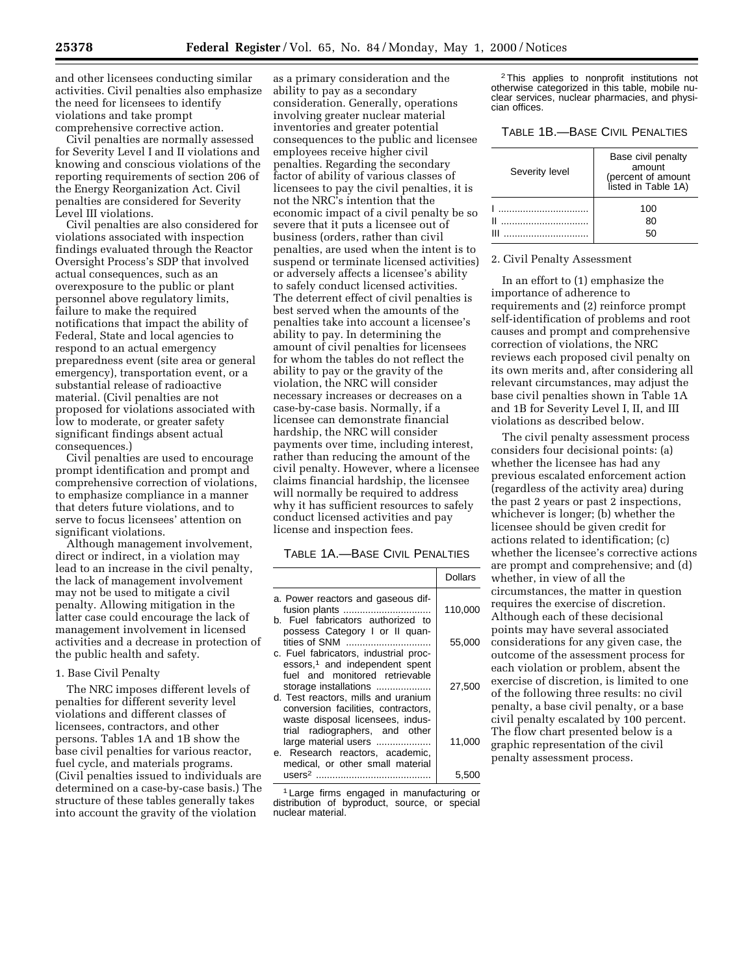and other licensees conducting similar activities. Civil penalties also emphasize the need for licensees to identify violations and take prompt comprehensive corrective action.

Civil penalties are normally assessed for Severity Level I and II violations and knowing and conscious violations of the reporting requirements of section 206 of the Energy Reorganization Act. Civil penalties are considered for Severity Level III violations.

Civil penalties are also considered for violations associated with inspection findings evaluated through the Reactor Oversight Process's SDP that involved actual consequences, such as an overexposure to the public or plant personnel above regulatory limits, failure to make the required notifications that impact the ability of Federal, State and local agencies to respond to an actual emergency preparedness event (site area or general emergency), transportation event, or a substantial release of radioactive material. (Civil penalties are not proposed for violations associated with low to moderate, or greater safety significant findings absent actual consequences.)

Civil penalties are used to encourage prompt identification and prompt and comprehensive correction of violations, to emphasize compliance in a manner that deters future violations, and to serve to focus licensees' attention on significant violations.

Although management involvement, direct or indirect, in a violation may lead to an increase in the civil penalty, the lack of management involvement may not be used to mitigate a civil penalty. Allowing mitigation in the latter case could encourage the lack of management involvement in licensed activities and a decrease in protection of the public health and safety.

## 1. Base Civil Penalty

The NRC imposes different levels of penalties for different severity level violations and different classes of licensees, contractors, and other persons. Tables 1A and 1B show the base civil penalties for various reactor, fuel cycle, and materials programs. (Civil penalties issued to individuals are determined on a case-by-case basis.) The structure of these tables generally takes into account the gravity of the violation

as a primary consideration and the ability to pay as a secondary consideration. Generally, operations involving greater nuclear material inventories and greater potential consequences to the public and licensee employees receive higher civil penalties. Regarding the secondary factor of ability of various classes of licensees to pay the civil penalties, it is not the NRC's intention that the economic impact of a civil penalty be so severe that it puts a licensee out of business (orders, rather than civil penalties, are used when the intent is to suspend or terminate licensed activities) or adversely affects a licensee's ability to safely conduct licensed activities. The deterrent effect of civil penalties is best served when the amounts of the penalties take into account a licensee's ability to pay. In determining the amount of civil penalties for licensees for whom the tables do not reflect the ability to pay or the gravity of the violation, the NRC will consider necessary increases or decreases on a case-by-case basis. Normally, if a licensee can demonstrate financial hardship, the NRC will consider payments over time, including interest, rather than reducing the amount of the civil penalty. However, where a licensee claims financial hardship, the licensee will normally be required to address why it has sufficient resources to safely conduct licensed activities and pay license and inspection fees.

### TABLE 1A.—BASE CIVIL PENALTIES

|                                                                                                                                                                                     | Dollars |
|-------------------------------------------------------------------------------------------------------------------------------------------------------------------------------------|---------|
| a. Power reactors and gaseous dif-<br>b. Fuel fabricators authorized to<br>possess Category I or II quan-                                                                           | 110,000 |
| tities of SNM<br>c. Fuel fabricators, industrial proc-                                                                                                                              | 55,000  |
| essors, <sup>1</sup> and independent spent<br>fuel and monitored retrievable<br>storage installations<br>d. Test reactors, mills and uranium<br>conversion facilities, contractors, | 27,500  |
| waste disposal licensees, indus-<br>trial radiographers, and other<br>large material users<br>e. Research reactors, academic,<br>medical, or other small material                   | 11,000  |
| users <sup>2</sup>                                                                                                                                                                  | 5.500   |

1 Large firms engaged in manufacturing or distribution of byproduct, source, or special nuclear material.

2This applies to nonprofit institutions not otherwise categorized in this table, mobile nuclear services, nuclear pharmacies, and physician offices.

### TABLE 1B.—BASE CIVIL PENALTIES

| Severity level   | Base civil penalty<br>amount<br>(percent of amount<br>listed in Table 1A) |
|------------------|---------------------------------------------------------------------------|
| .<br>.<br>н<br>ш | 100<br>80<br>50                                                           |

#### 2. Civil Penalty Assessment

In an effort to (1) emphasize the importance of adherence to requirements and (2) reinforce prompt self-identification of problems and root causes and prompt and comprehensive correction of violations, the NRC reviews each proposed civil penalty on its own merits and, after considering all relevant circumstances, may adjust the base civil penalties shown in Table 1A and 1B for Severity Level I, II, and III violations as described below.

The civil penalty assessment process considers four decisional points: (a) whether the licensee has had any previous escalated enforcement action (regardless of the activity area) during the past 2 years or past 2 inspections, whichever is longer; (b) whether the licensee should be given credit for actions related to identification; (c) whether the licensee's corrective actions are prompt and comprehensive; and (d) whether, in view of all the circumstances, the matter in question requires the exercise of discretion. Although each of these decisional points may have several associated considerations for any given case, the outcome of the assessment process for each violation or problem, absent the exercise of discretion, is limited to one of the following three results: no civil penalty, a base civil penalty, or a base civil penalty escalated by 100 percent. The flow chart presented below is a graphic representation of the civil penalty assessment process.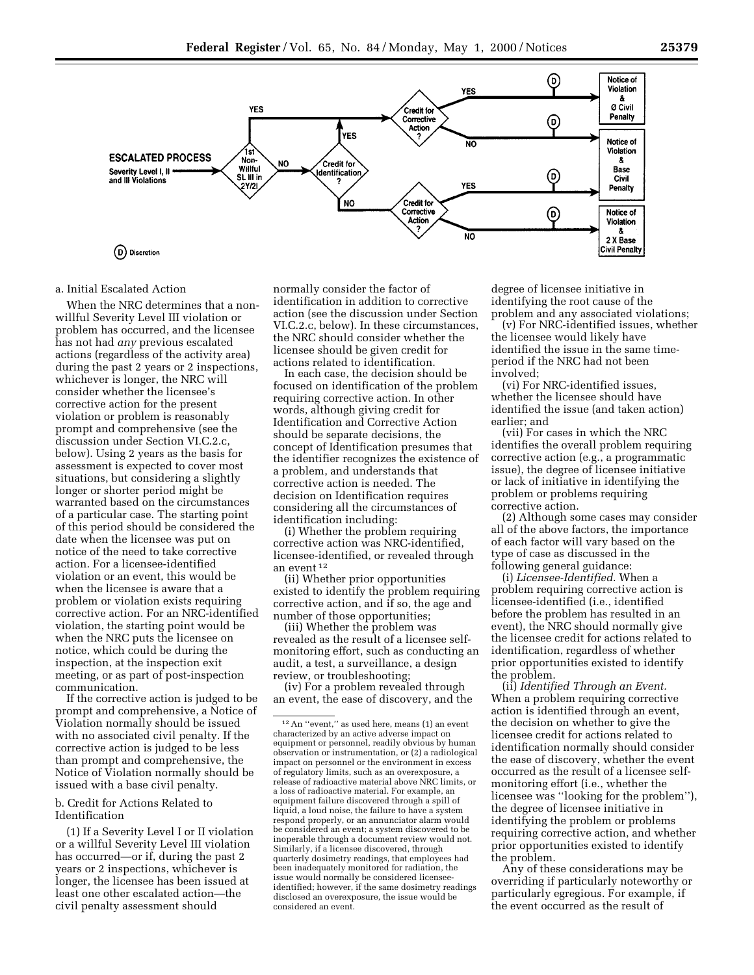



# a. Initial Escalated Action

When the NRC determines that a nonwillful Severity Level III violation or problem has occurred, and the licensee has not had *any* previous escalated actions (regardless of the activity area) during the past 2 years or 2 inspections, whichever is longer, the NRC will consider whether the licensee's corrective action for the present violation or problem is reasonably prompt and comprehensive (see the discussion under Section VI.C.2.c, below). Using 2 years as the basis for assessment is expected to cover most situations, but considering a slightly longer or shorter period might be warranted based on the circumstances of a particular case. The starting point of this period should be considered the date when the licensee was put on notice of the need to take corrective action. For a licensee-identified violation or an event, this would be when the licensee is aware that a problem or violation exists requiring corrective action. For an NRC-identified violation, the starting point would be when the NRC puts the licensee on notice, which could be during the inspection, at the inspection exit meeting, or as part of post-inspection communication.

If the corrective action is judged to be prompt and comprehensive, a Notice of Violation normally should be issued with no associated civil penalty. If the corrective action is judged to be less than prompt and comprehensive, the Notice of Violation normally should be issued with a base civil penalty.

### b. Credit for Actions Related to Identification

(1) If a Severity Level I or II violation or a willful Severity Level III violation has occurred—or if, during the past 2 years or 2 inspections, whichever is longer, the licensee has been issued at least one other escalated action—the civil penalty assessment should

normally consider the factor of identification in addition to corrective action (see the discussion under Section VI.C.2.c, below). In these circumstances, the NRC should consider whether the licensee should be given credit for actions related to identification.

In each case, the decision should be focused on identification of the problem requiring corrective action. In other words, although giving credit for Identification and Corrective Action should be separate decisions, the concept of Identification presumes that the identifier recognizes the existence of a problem, and understands that corrective action is needed. The decision on Identification requires considering all the circumstances of identification including:

(i) Whether the problem requiring corrective action was NRC-identified, licensee-identified, or revealed through an event 12

(ii) Whether prior opportunities existed to identify the problem requiring corrective action, and if so, the age and number of those opportunities;

(iii) Whether the problem was revealed as the result of a licensee selfmonitoring effort, such as conducting an audit, a test, a surveillance, a design review, or troubleshooting;

(iv) For a problem revealed through an event, the ease of discovery, and the degree of licensee initiative in identifying the root cause of the problem and any associated violations;

(v) For NRC-identified issues, whether the licensee would likely have identified the issue in the same timeperiod if the NRC had not been involved;

(vi) For NRC-identified issues, whether the licensee should have identified the issue (and taken action) earlier; and

(vii) For cases in which the NRC identifies the overall problem requiring corrective action (e.g., a programmatic issue), the degree of licensee initiative or lack of initiative in identifying the problem or problems requiring corrective action.

(2) Although some cases may consider all of the above factors, the importance of each factor will vary based on the type of case as discussed in the following general guidance:

(i) *Licensee-Identified*. When a problem requiring corrective action is licensee-identified (i.e., identified before the problem has resulted in an event), the NRC should normally give the licensee credit for actions related to identification, regardless of whether prior opportunities existed to identify the problem.

(ii) *Identified Through an Event.* When a problem requiring corrective action is identified through an event, the decision on whether to give the licensee credit for actions related to identification normally should consider the ease of discovery, whether the event occurred as the result of a licensee selfmonitoring effort (i.e., whether the licensee was ''looking for the problem''), the degree of licensee initiative in identifying the problem or problems requiring corrective action, and whether prior opportunities existed to identify the problem.

Any of these considerations may be overriding if particularly noteworthy or particularly egregious. For example, if the event occurred as the result of

<sup>12</sup>An ''event,'' as used here, means (1) an event characterized by an active adverse impact on equipment or personnel, readily obvious by human observation or instrumentation, or (2) a radiological impact on personnel or the environment in excess of regulatory limits, such as an overexposure, a release of radioactive material above NRC limits, or a loss of radioactive material. For example, an equipment failure discovered through a spill of liquid, a loud noise, the failure to have a system respond properly, or an annunciator alarm would be considered an event; a system discovered to be inoperable through a document review would not. Similarly, if a licensee discovered, through quarterly dosimetry readings, that employees had been inadequately monitored for radiation, the issue would normally be considered licenseeidentified; however, if the same dosimetry readings disclosed an overexposure, the issue would be considered an event.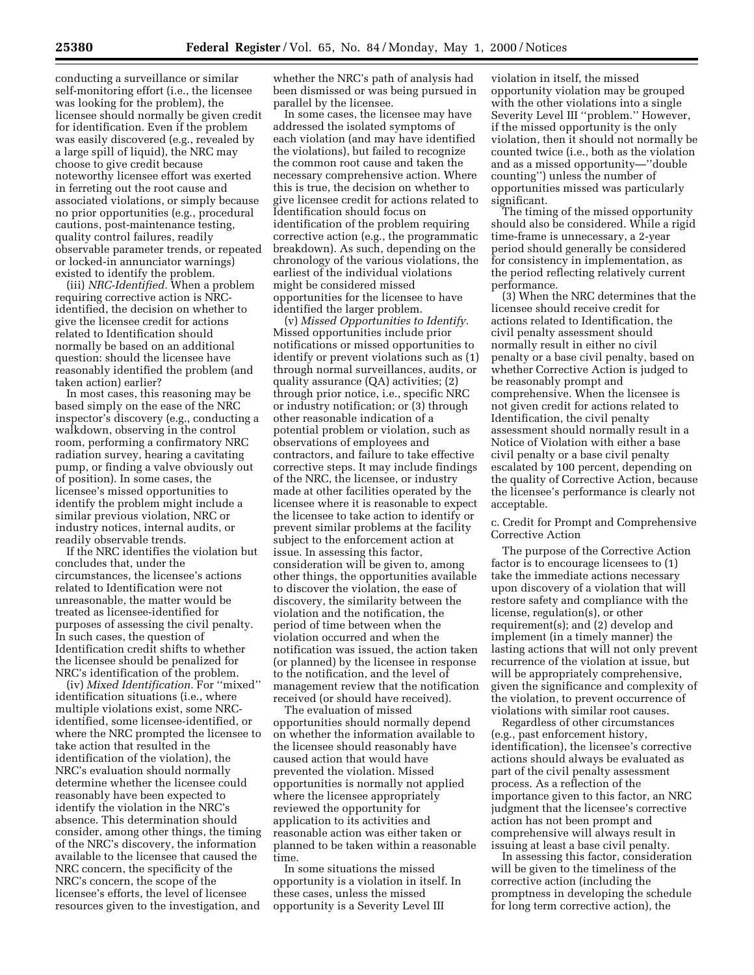conducting a surveillance or similar self-monitoring effort (i.e., the licensee was looking for the problem), the licensee should normally be given credit for identification. Even if the problem was easily discovered (e.g., revealed by a large spill of liquid), the NRC may choose to give credit because noteworthy licensee effort was exerted in ferreting out the root cause and associated violations, or simply because no prior opportunities (e.g., procedural cautions, post-maintenance testing, quality control failures, readily observable parameter trends, or repeated or locked-in annunciator warnings) existed to identify the problem.

(iii) *NRC-Identified.* When a problem requiring corrective action is NRCidentified, the decision on whether to give the licensee credit for actions related to Identification should normally be based on an additional question: should the licensee have reasonably identified the problem (and taken action) earlier?

In most cases, this reasoning may be based simply on the ease of the NRC inspector's discovery (e.g., conducting a walkdown, observing in the control room, performing a confirmatory NRC radiation survey, hearing a cavitating pump, or finding a valve obviously out of position). In some cases, the licensee's missed opportunities to identify the problem might include a similar previous violation, NRC or industry notices, internal audits, or readily observable trends.

If the NRC identifies the violation but concludes that, under the circumstances, the licensee's actions related to Identification were not unreasonable, the matter would be treated as licensee-identified for purposes of assessing the civil penalty. In such cases, the question of Identification credit shifts to whether the licensee should be penalized for NRC's identification of the problem.

(iv) *Mixed Identification.* For ''mixed'' identification situations (i.e., where multiple violations exist, some NRCidentified, some licensee-identified, or where the NRC prompted the licensee to take action that resulted in the identification of the violation), the NRC's evaluation should normally determine whether the licensee could reasonably have been expected to identify the violation in the NRC's absence. This determination should consider, among other things, the timing of the NRC's discovery, the information available to the licensee that caused the NRC concern, the specificity of the NRC's concern, the scope of the licensee's efforts, the level of licensee resources given to the investigation, and

whether the NRC's path of analysis had been dismissed or was being pursued in parallel by the licensee.

In some cases, the licensee may have addressed the isolated symptoms of each violation (and may have identified the violations), but failed to recognize the common root cause and taken the necessary comprehensive action. Where this is true, the decision on whether to give licensee credit for actions related to Identification should focus on identification of the problem requiring corrective action (e.g., the programmatic breakdown). As such, depending on the chronology of the various violations, the earliest of the individual violations might be considered missed opportunities for the licensee to have identified the larger problem.

(v) *Missed Opportunities to Identify.* Missed opportunities include prior notifications or missed opportunities to identify or prevent violations such as (1) through normal surveillances, audits, or quality assurance (QA) activities; (2) through prior notice, i.e., specific NRC or industry notification; or (3) through other reasonable indication of a potential problem or violation, such as observations of employees and contractors, and failure to take effective corrective steps. It may include findings of the NRC, the licensee, or industry made at other facilities operated by the licensee where it is reasonable to expect the licensee to take action to identify or prevent similar problems at the facility subject to the enforcement action at issue. In assessing this factor, consideration will be given to, among other things, the opportunities available to discover the violation, the ease of discovery, the similarity between the violation and the notification, the period of time between when the violation occurred and when the notification was issued, the action taken (or planned) by the licensee in response to the notification, and the level of management review that the notification received (or should have received).

The evaluation of missed opportunities should normally depend on whether the information available to the licensee should reasonably have caused action that would have prevented the violation. Missed opportunities is normally not applied where the licensee appropriately reviewed the opportunity for application to its activities and reasonable action was either taken or planned to be taken within a reasonable time.

In some situations the missed opportunity is a violation in itself. In these cases, unless the missed opportunity is a Severity Level III

violation in itself, the missed opportunity violation may be grouped with the other violations into a single Severity Level III ''problem.'' However, if the missed opportunity is the only violation, then it should not normally be counted twice (i.e., both as the violation and as a missed opportunity—''double counting'') unless the number of opportunities missed was particularly significant.

The timing of the missed opportunity should also be considered. While a rigid time-frame is unnecessary, a 2-year period should generally be considered for consistency in implementation, as the period reflecting relatively current performance.

(3) When the NRC determines that the licensee should receive credit for actions related to Identification, the civil penalty assessment should normally result in either no civil penalty or a base civil penalty, based on whether Corrective Action is judged to be reasonably prompt and comprehensive. When the licensee is not given credit for actions related to Identification, the civil penalty assessment should normally result in a Notice of Violation with either a base civil penalty or a base civil penalty escalated by 100 percent, depending on the quality of Corrective Action, because the licensee's performance is clearly not acceptable.

c. Credit for Prompt and Comprehensive Corrective Action

The purpose of the Corrective Action factor is to encourage licensees to (1) take the immediate actions necessary upon discovery of a violation that will restore safety and compliance with the license, regulation(s), or other requirement(s); and (2) develop and implement (in a timely manner) the lasting actions that will not only prevent recurrence of the violation at issue, but will be appropriately comprehensive, given the significance and complexity of the violation, to prevent occurrence of violations with similar root causes.

Regardless of other circumstances (e.g., past enforcement history, identification), the licensee's corrective actions should always be evaluated as part of the civil penalty assessment process. As a reflection of the importance given to this factor, an NRC judgment that the licensee's corrective action has not been prompt and comprehensive will always result in issuing at least a base civil penalty.

In assessing this factor, consideration will be given to the timeliness of the corrective action (including the promptness in developing the schedule for long term corrective action), the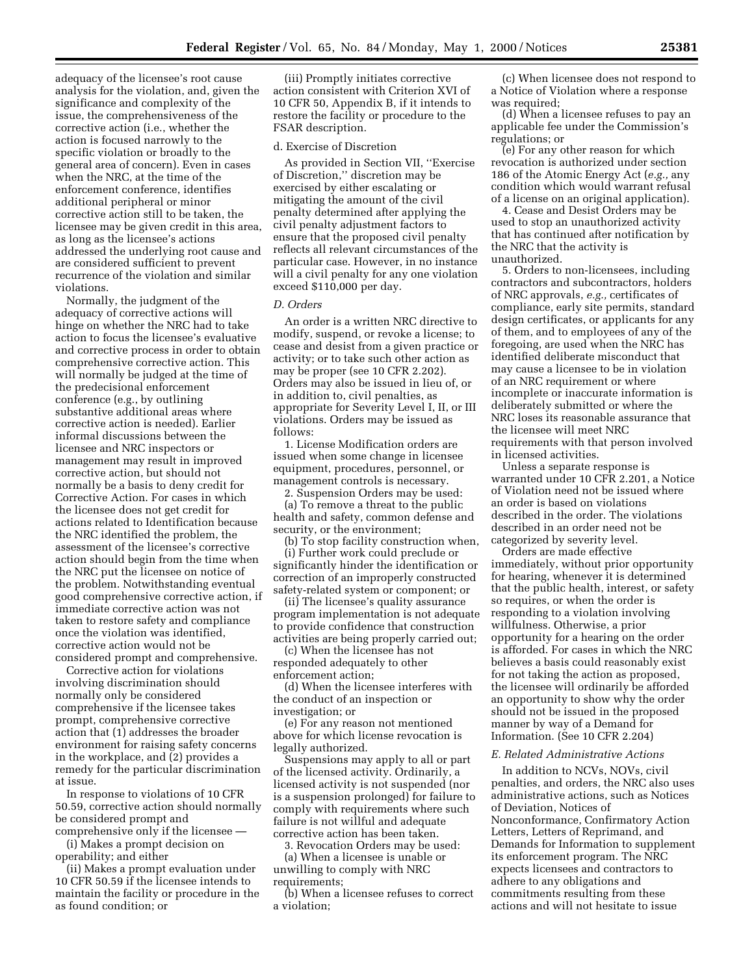adequacy of the licensee's root cause analysis for the violation, and, given the significance and complexity of the issue, the comprehensiveness of the corrective action (i.e., whether the action is focused narrowly to the specific violation or broadly to the general area of concern). Even in cases when the NRC, at the time of the enforcement conference, identifies additional peripheral or minor corrective action still to be taken, the licensee may be given credit in this area, as long as the licensee's actions addressed the underlying root cause and are considered sufficient to prevent recurrence of the violation and similar violations.

Normally, the judgment of the adequacy of corrective actions will hinge on whether the NRC had to take action to focus the licensee's evaluative and corrective process in order to obtain comprehensive corrective action. This will normally be judged at the time of the predecisional enforcement conference (e.g., by outlining substantive additional areas where corrective action is needed). Earlier informal discussions between the licensee and NRC inspectors or management may result in improved corrective action, but should not normally be a basis to deny credit for Corrective Action. For cases in which the licensee does not get credit for actions related to Identification because the NRC identified the problem, the assessment of the licensee's corrective action should begin from the time when the NRC put the licensee on notice of the problem. Notwithstanding eventual good comprehensive corrective action, if immediate corrective action was not taken to restore safety and compliance once the violation was identified, corrective action would not be considered prompt and comprehensive.

Corrective action for violations involving discrimination should normally only be considered comprehensive if the licensee takes prompt, comprehensive corrective action that (1) addresses the broader environment for raising safety concerns in the workplace, and (2) provides a remedy for the particular discrimination at issue.

In response to violations of 10 CFR 50.59, corrective action should normally be considered prompt and comprehensive only if the licensee —

(i) Makes a prompt decision on operability; and either

(ii) Makes a prompt evaluation under 10 CFR 50.59 if the licensee intends to maintain the facility or procedure in the as found condition; or

(iii) Promptly initiates corrective action consistent with Criterion XVI of 10 CFR 50, Appendix B, if it intends to restore the facility or procedure to the FSAR description.

#### d. Exercise of Discretion

As provided in Section VII, ''Exercise of Discretion,'' discretion may be exercised by either escalating or mitigating the amount of the civil penalty determined after applying the civil penalty adjustment factors to ensure that the proposed civil penalty reflects all relevant circumstances of the particular case. However, in no instance will a civil penalty for any one violation exceed \$110,000 per day.

### *D. Orders*

An order is a written NRC directive to modify, suspend, or revoke a license; to cease and desist from a given practice or activity; or to take such other action as may be proper (see 10 CFR 2.202). Orders may also be issued in lieu of, or in addition to, civil penalties, as appropriate for Severity Level I, II, or III violations. Orders may be issued as follows:

1. License Modification orders are issued when some change in licensee equipment, procedures, personnel, or management controls is necessary.

2. Suspension Orders may be used:

(a) To remove a threat to the public health and safety, common defense and security, or the environment;

(b) To stop facility construction when, (i) Further work could preclude or significantly hinder the identification or correction of an improperly constructed safety-related system or component; or

(ii) The licensee's quality assurance program implementation is not adequate to provide confidence that construction activities are being properly carried out;

(c) When the licensee has not responded adequately to other enforcement action;

(d) When the licensee interferes with the conduct of an inspection or investigation; or

(e) For any reason not mentioned above for which license revocation is legally authorized.

Suspensions may apply to all or part of the licensed activity. Ordinarily, a licensed activity is not suspended (nor is a suspension prolonged) for failure to comply with requirements where such failure is not willful and adequate corrective action has been taken.

3. Revocation Orders may be used:

(a) When a licensee is unable or unwilling to comply with NRC requirements;

(b) When a licensee refuses to correct a violation;

(c) When licensee does not respond to a Notice of Violation where a response was required;

(d) When a licensee refuses to pay an applicable fee under the Commission's regulations; or

(e) For any other reason for which revocation is authorized under section 186 of the Atomic Energy Act (*e.g.,* any condition which would warrant refusal of a license on an original application).

4. Cease and Desist Orders may be used to stop an unauthorized activity that has continued after notification by the NRC that the activity is unauthorized.

5. Orders to non-licensees, including contractors and subcontractors, holders of NRC approvals, *e.g.,* certificates of compliance, early site permits, standard design certificates, or applicants for any of them, and to employees of any of the foregoing, are used when the NRC has identified deliberate misconduct that may cause a licensee to be in violation of an NRC requirement or where incomplete or inaccurate information is deliberately submitted or where the NRC loses its reasonable assurance that the licensee will meet NRC requirements with that person involved in licensed activities.

Unless a separate response is warranted under 10 CFR 2.201, a Notice of Violation need not be issued where an order is based on violations described in the order. The violations described in an order need not be categorized by severity level.

Orders are made effective immediately, without prior opportunity for hearing, whenever it is determined that the public health, interest, or safety so requires, or when the order is responding to a violation involving willfulness. Otherwise, a prior opportunity for a hearing on the order is afforded. For cases in which the NRC believes a basis could reasonably exist for not taking the action as proposed, the licensee will ordinarily be afforded an opportunity to show why the order should not be issued in the proposed manner by way of a Demand for Information. (See 10 CFR 2.204)

### *E. Related Administrative Actions*

In addition to NCVs, NOVs, civil penalties, and orders, the NRC also uses administrative actions, such as Notices of Deviation, Notices of Nonconformance, Confirmatory Action Letters, Letters of Reprimand, and Demands for Information to supplement its enforcement program. The NRC expects licensees and contractors to adhere to any obligations and commitments resulting from these actions and will not hesitate to issue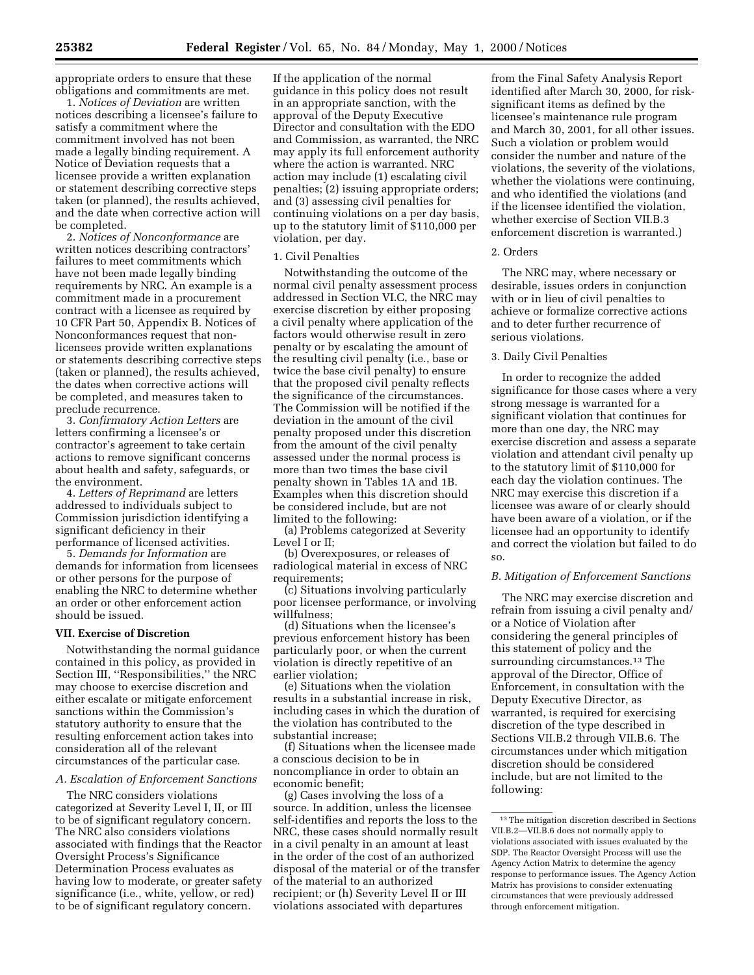appropriate orders to ensure that these obligations and commitments are met.

1. *Notices of Deviation* are written notices describing a licensee's failure to satisfy a commitment where the commitment involved has not been made a legally binding requirement. A Notice of Deviation requests that a licensee provide a written explanation or statement describing corrective steps taken (or planned), the results achieved, and the date when corrective action will be completed.

2. *Notices of Nonconformance* are written notices describing contractors' failures to meet commitments which have not been made legally binding requirements by NRC. An example is a commitment made in a procurement contract with a licensee as required by 10 CFR Part 50, Appendix B. Notices of Nonconformances request that nonlicensees provide written explanations or statements describing corrective steps (taken or planned), the results achieved, the dates when corrective actions will be completed, and measures taken to preclude recurrence.

3. *Confirmatory Action Letters* are letters confirming a licensee's or contractor's agreement to take certain actions to remove significant concerns about health and safety, safeguards, or the environment.

4. *Letters of Reprimand* are letters addressed to individuals subject to Commission jurisdiction identifying a significant deficiency in their performance of licensed activities.

5. *Demands for Information* are demands for information from licensees or other persons for the purpose of enabling the NRC to determine whether an order or other enforcement action should be issued.

### **VII. Exercise of Discretion**

Notwithstanding the normal guidance contained in this policy, as provided in Section III, ''Responsibilities,'' the NRC may choose to exercise discretion and either escalate or mitigate enforcement sanctions within the Commission's statutory authority to ensure that the resulting enforcement action takes into consideration all of the relevant circumstances of the particular case.

## *A. Escalation of Enforcement Sanctions*

The NRC considers violations categorized at Severity Level I, II, or III to be of significant regulatory concern. The NRC also considers violations associated with findings that the Reactor Oversight Process's Significance Determination Process evaluates as having low to moderate, or greater safety significance (i.e., white, yellow, or red) to be of significant regulatory concern.

If the application of the normal guidance in this policy does not result in an appropriate sanction, with the approval of the Deputy Executive Director and consultation with the EDO and Commission, as warranted, the NRC may apply its full enforcement authority where the action is warranted. NRC action may include (1) escalating civil penalties; (2) issuing appropriate orders; and (3) assessing civil penalties for continuing violations on a per day basis, up to the statutory limit of \$110,000 per violation, per day.

#### 1. Civil Penalties

Notwithstanding the outcome of the normal civil penalty assessment process addressed in Section VI.C, the NRC may exercise discretion by either proposing a civil penalty where application of the factors would otherwise result in zero penalty or by escalating the amount of the resulting civil penalty (i.e., base or twice the base civil penalty) to ensure that the proposed civil penalty reflects the significance of the circumstances. The Commission will be notified if the deviation in the amount of the civil penalty proposed under this discretion from the amount of the civil penalty assessed under the normal process is more than two times the base civil penalty shown in Tables 1A and 1B. Examples when this discretion should be considered include, but are not limited to the following:

(a) Problems categorized at Severity Level I or II;

(b) Overexposures, or releases of radiological material in excess of NRC requirements;

(c) Situations involving particularly poor licensee performance, or involving willfulness;

(d) Situations when the licensee's previous enforcement history has been particularly poor, or when the current violation is directly repetitive of an earlier violation;

(e) Situations when the violation results in a substantial increase in risk, including cases in which the duration of the violation has contributed to the substantial increase;

(f) Situations when the licensee made a conscious decision to be in noncompliance in order to obtain an economic benefit;

(g) Cases involving the loss of a source. In addition, unless the licensee self-identifies and reports the loss to the NRC, these cases should normally result in a civil penalty in an amount at least in the order of the cost of an authorized disposal of the material or of the transfer of the material to an authorized recipient; or (h) Severity Level II or III violations associated with departures

from the Final Safety Analysis Report identified after March 30, 2000, for risksignificant items as defined by the licensee's maintenance rule program and March 30, 2001, for all other issues. Such a violation or problem would consider the number and nature of the violations, the severity of the violations, whether the violations were continuing, and who identified the violations (and if the licensee identified the violation, whether exercise of Section VII.B.3 enforcement discretion is warranted.)

#### 2. Orders

The NRC may, where necessary or desirable, issues orders in conjunction with or in lieu of civil penalties to achieve or formalize corrective actions and to deter further recurrence of serious violations.

## 3. Daily Civil Penalties

In order to recognize the added significance for those cases where a very strong message is warranted for a significant violation that continues for more than one day, the NRC may exercise discretion and assess a separate violation and attendant civil penalty up to the statutory limit of \$110,000 for each day the violation continues. The NRC may exercise this discretion if a licensee was aware of or clearly should have been aware of a violation, or if the licensee had an opportunity to identify and correct the violation but failed to do so.

### *B. Mitigation of Enforcement Sanctions*

The NRC may exercise discretion and refrain from issuing a civil penalty and/ or a Notice of Violation after considering the general principles of this statement of policy and the surrounding circumstances.<sup>13</sup> The approval of the Director, Office of Enforcement, in consultation with the Deputy Executive Director, as warranted, is required for exercising discretion of the type described in Sections VII.B.2 through VII.B.6. The circumstances under which mitigation discretion should be considered include, but are not limited to the following:

<sup>13</sup>The mitigation discretion described in Sections VII.B.2—VII.B.6 does not normally apply to violations associated with issues evaluated by the SDP. The Reactor Oversight Process will use the Agency Action Matrix to determine the agency response to performance issues. The Agency Action Matrix has provisions to consider extenuating circumstances that were previously addressed through enforcement mitigation.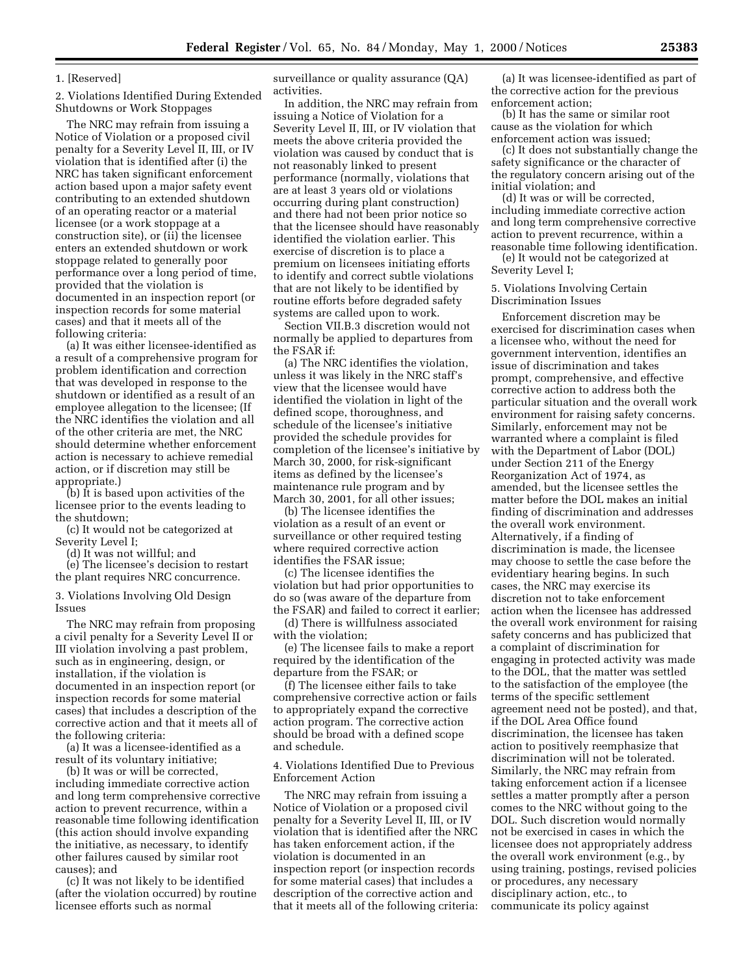### 1. [Reserved]

2. Violations Identified During Extended Shutdowns or Work Stoppages

The NRC may refrain from issuing a Notice of Violation or a proposed civil penalty for a Severity Level II, III, or IV violation that is identified after (i) the NRC has taken significant enforcement action based upon a major safety event contributing to an extended shutdown of an operating reactor or a material licensee (or a work stoppage at a construction site), or (ii) the licensee enters an extended shutdown or work stoppage related to generally poor performance over a long period of time, provided that the violation is documented in an inspection report (or inspection records for some material cases) and that it meets all of the following criteria:

(a) It was either licensee-identified as a result of a comprehensive program for problem identification and correction that was developed in response to the shutdown or identified as a result of an employee allegation to the licensee; (If the NRC identifies the violation and all of the other criteria are met, the NRC should determine whether enforcement action is necessary to achieve remedial action, or if discretion may still be appropriate.)

(b) It is based upon activities of the licensee prior to the events leading to the shutdown;

(c) It would not be categorized at Severity Level I;

(d) It was not willful; and

(e) The licensee's decision to restart the plant requires NRC concurrence.

3. Violations Involving Old Design Issues

The NRC may refrain from proposing a civil penalty for a Severity Level II or III violation involving a past problem, such as in engineering, design, or installation, if the violation is documented in an inspection report (or inspection records for some material cases) that includes a description of the corrective action and that it meets all of the following criteria:

(a) It was a licensee-identified as a result of its voluntary initiative;

(b) It was or will be corrected, including immediate corrective action and long term comprehensive corrective action to prevent recurrence, within a reasonable time following identification (this action should involve expanding the initiative, as necessary, to identify other failures caused by similar root causes); and

(c) It was not likely to be identified (after the violation occurred) by routine licensee efforts such as normal

surveillance or quality assurance (QA) activities.

In addition, the NRC may refrain from issuing a Notice of Violation for a Severity Level II, III, or IV violation that meets the above criteria provided the violation was caused by conduct that is not reasonably linked to present performance (normally, violations that are at least 3 years old or violations occurring during plant construction) and there had not been prior notice so that the licensee should have reasonably identified the violation earlier. This exercise of discretion is to place a premium on licensees initiating efforts to identify and correct subtle violations that are not likely to be identified by routine efforts before degraded safety systems are called upon to work.

Section VII.B.3 discretion would not normally be applied to departures from the FSAR if:

(a) The NRC identifies the violation, unless it was likely in the NRC staff's view that the licensee would have identified the violation in light of the defined scope, thoroughness, and schedule of the licensee's initiative provided the schedule provides for completion of the licensee's initiative by March 30, 2000, for risk-significant items as defined by the licensee's maintenance rule program and by March 30, 2001, for all other issues;

(b) The licensee identifies the violation as a result of an event or surveillance or other required testing where required corrective action identifies the FSAR issue;

(c) The licensee identifies the violation but had prior opportunities to do so (was aware of the departure from the FSAR) and failed to correct it earlier;

(d) There is willfulness associated with the violation;

(e) The licensee fails to make a report required by the identification of the departure from the FSAR; or

(f) The licensee either fails to take comprehensive corrective action or fails to appropriately expand the corrective action program. The corrective action should be broad with a defined scope and schedule.

4. Violations Identified Due to Previous Enforcement Action

The NRC may refrain from issuing a Notice of Violation or a proposed civil penalty for a Severity Level II, III, or IV violation that is identified after the NRC has taken enforcement action, if the violation is documented in an inspection report (or inspection records for some material cases) that includes a description of the corrective action and that it meets all of the following criteria:

(a) It was licensee-identified as part of the corrective action for the previous enforcement action;

(b) It has the same or similar root cause as the violation for which enforcement action was issued;

(c) It does not substantially change the safety significance or the character of the regulatory concern arising out of the initial violation; and

(d) It was or will be corrected, including immediate corrective action and long term comprehensive corrective action to prevent recurrence, within a reasonable time following identification.

(e) It would not be categorized at Severity Level I;

5. Violations Involving Certain Discrimination Issues

Enforcement discretion may be exercised for discrimination cases when a licensee who, without the need for government intervention, identifies an issue of discrimination and takes prompt, comprehensive, and effective corrective action to address both the particular situation and the overall work environment for raising safety concerns. Similarly, enforcement may not be warranted where a complaint is filed with the Department of Labor (DOL) under Section 211 of the Energy Reorganization Act of 1974, as amended, but the licensee settles the matter before the DOL makes an initial finding of discrimination and addresses the overall work environment. Alternatively, if a finding of discrimination is made, the licensee may choose to settle the case before the evidentiary hearing begins. In such cases, the NRC may exercise its discretion not to take enforcement action when the licensee has addressed the overall work environment for raising safety concerns and has publicized that a complaint of discrimination for engaging in protected activity was made to the DOL, that the matter was settled to the satisfaction of the employee (the terms of the specific settlement agreement need not be posted), and that, if the DOL Area Office found discrimination, the licensee has taken action to positively reemphasize that discrimination will not be tolerated. Similarly, the NRC may refrain from taking enforcement action if a licensee settles a matter promptly after a person comes to the NRC without going to the DOL. Such discretion would normally not be exercised in cases in which the licensee does not appropriately address the overall work environment (e.g., by using training, postings, revised policies or procedures, any necessary disciplinary action, etc., to communicate its policy against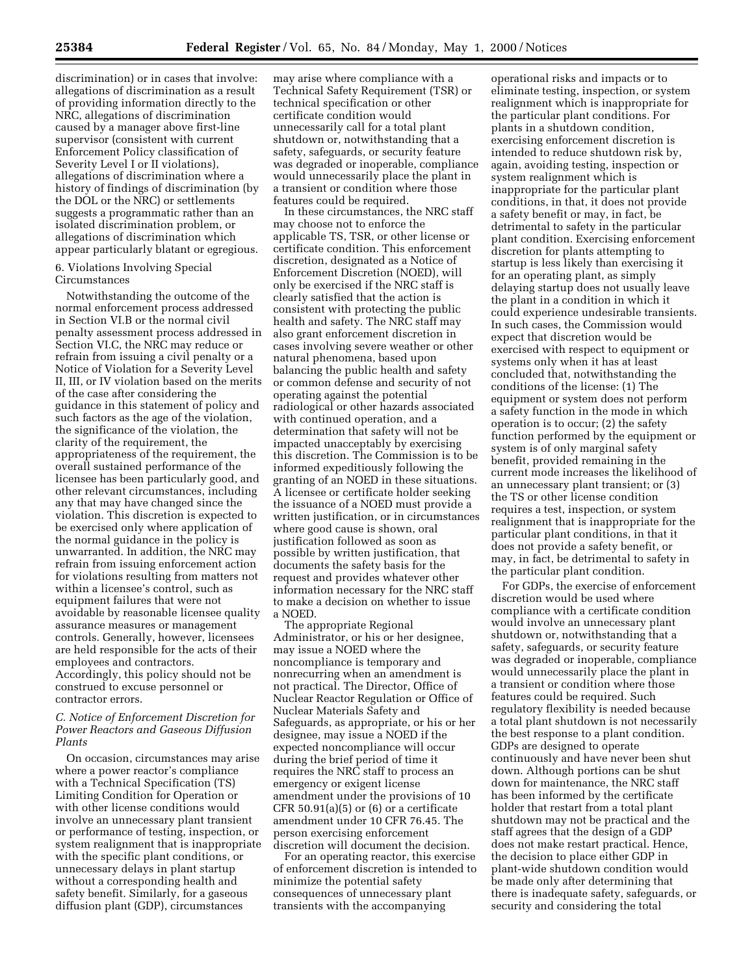discrimination) or in cases that involve: allegations of discrimination as a result of providing information directly to the NRC, allegations of discrimination caused by a manager above first-line supervisor (consistent with current Enforcement Policy classification of Severity Level I or II violations), allegations of discrimination where a history of findings of discrimination (by the DOL or the NRC) or settlements suggests a programmatic rather than an isolated discrimination problem, or allegations of discrimination which appear particularly blatant or egregious.

### 6. Violations Involving Special Circumstances

Notwithstanding the outcome of the normal enforcement process addressed in Section VI.B or the normal civil penalty assessment process addressed in Section VI.C, the NRC may reduce or refrain from issuing a civil penalty or a Notice of Violation for a Severity Level II, III, or IV violation based on the merits of the case after considering the guidance in this statement of policy and such factors as the age of the violation, the significance of the violation, the clarity of the requirement, the appropriateness of the requirement, the overall sustained performance of the licensee has been particularly good, and other relevant circumstances, including any that may have changed since the violation. This discretion is expected to be exercised only where application of the normal guidance in the policy is unwarranted. In addition, the NRC may refrain from issuing enforcement action for violations resulting from matters not within a licensee's control, such as equipment failures that were not avoidable by reasonable licensee quality assurance measures or management controls. Generally, however, licensees are held responsible for the acts of their employees and contractors. Accordingly, this policy should not be construed to excuse personnel or contractor errors.

## *C. Notice of Enforcement Discretion for Power Reactors and Gaseous Diffusion Plants*

On occasion, circumstances may arise where a power reactor's compliance with a Technical Specification (TS) Limiting Condition for Operation or with other license conditions would involve an unnecessary plant transient or performance of testing, inspection, or system realignment that is inappropriate with the specific plant conditions, or unnecessary delays in plant startup without a corresponding health and safety benefit. Similarly, for a gaseous diffusion plant (GDP), circumstances

may arise where compliance with a Technical Safety Requirement (TSR) or technical specification or other certificate condition would unnecessarily call for a total plant shutdown or, notwithstanding that a safety, safeguards, or security feature was degraded or inoperable, compliance would unnecessarily place the plant in a transient or condition where those features could be required.

In these circumstances, the NRC staff may choose not to enforce the applicable TS, TSR, or other license or certificate condition. This enforcement discretion, designated as a Notice of Enforcement Discretion (NOED), will only be exercised if the NRC staff is clearly satisfied that the action is consistent with protecting the public health and safety. The NRC staff may also grant enforcement discretion in cases involving severe weather or other natural phenomena, based upon balancing the public health and safety or common defense and security of not operating against the potential radiological or other hazards associated with continued operation, and a determination that safety will not be impacted unacceptably by exercising this discretion. The Commission is to be informed expeditiously following the granting of an NOED in these situations. A licensee or certificate holder seeking the issuance of a NOED must provide a written justification, or in circumstances where good cause is shown, oral justification followed as soon as possible by written justification, that documents the safety basis for the request and provides whatever other information necessary for the NRC staff to make a decision on whether to issue a NOED.

The appropriate Regional Administrator, or his or her designee, may issue a NOED where the noncompliance is temporary and nonrecurring when an amendment is not practical. The Director, Office of Nuclear Reactor Regulation or Office of Nuclear Materials Safety and Safeguards, as appropriate, or his or her designee, may issue a NOED if the expected noncompliance will occur during the brief period of time it requires the NRC staff to process an emergency or exigent license amendment under the provisions of 10 CFR  $50.91(a)(5)$  or  $(6)$  or a certificate amendment under 10 CFR 76.45. The person exercising enforcement discretion will document the decision.

For an operating reactor, this exercise of enforcement discretion is intended to minimize the potential safety consequences of unnecessary plant transients with the accompanying

operational risks and impacts or to eliminate testing, inspection, or system realignment which is inappropriate for the particular plant conditions. For plants in a shutdown condition, exercising enforcement discretion is intended to reduce shutdown risk by, again, avoiding testing, inspection or system realignment which is inappropriate for the particular plant conditions, in that, it does not provide a safety benefit or may, in fact, be detrimental to safety in the particular plant condition. Exercising enforcement discretion for plants attempting to startup is less likely than exercising it for an operating plant, as simply delaying startup does not usually leave the plant in a condition in which it could experience undesirable transients. In such cases, the Commission would expect that discretion would be exercised with respect to equipment or systems only when it has at least concluded that, notwithstanding the conditions of the license: (1) The equipment or system does not perform a safety function in the mode in which operation is to occur; (2) the safety function performed by the equipment or system is of only marginal safety benefit, provided remaining in the current mode increases the likelihood of an unnecessary plant transient; or (3) the TS or other license condition requires a test, inspection, or system realignment that is inappropriate for the particular plant conditions, in that it does not provide a safety benefit, or may, in fact, be detrimental to safety in the particular plant condition.

For GDPs, the exercise of enforcement discretion would be used where compliance with a certificate condition would involve an unnecessary plant shutdown or, notwithstanding that a safety, safeguards, or security feature was degraded or inoperable, compliance would unnecessarily place the plant in a transient or condition where those features could be required. Such regulatory flexibility is needed because a total plant shutdown is not necessarily the best response to a plant condition. GDPs are designed to operate continuously and have never been shut down. Although portions can be shut down for maintenance, the NRC staff has been informed by the certificate holder that restart from a total plant shutdown may not be practical and the staff agrees that the design of a GDP does not make restart practical. Hence, the decision to place either GDP in plant-wide shutdown condition would be made only after determining that there is inadequate safety, safeguards, or security and considering the total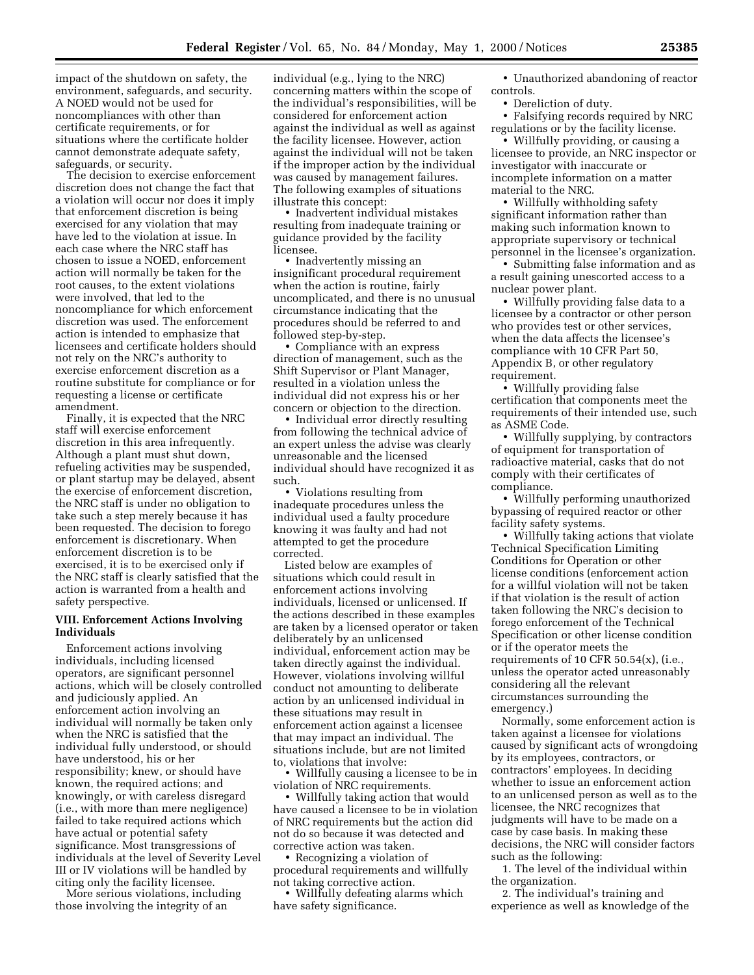impact of the shutdown on safety, the environment, safeguards, and security. A NOED would not be used for noncompliances with other than certificate requirements, or for situations where the certificate holder cannot demonstrate adequate safety, safeguards, or security.

The decision to exercise enforcement discretion does not change the fact that a violation will occur nor does it imply that enforcement discretion is being exercised for any violation that may have led to the violation at issue. In each case where the NRC staff has chosen to issue a NOED, enforcement action will normally be taken for the root causes, to the extent violations were involved, that led to the noncompliance for which enforcement discretion was used. The enforcement action is intended to emphasize that licensees and certificate holders should not rely on the NRC's authority to exercise enforcement discretion as a routine substitute for compliance or for requesting a license or certificate amendment.

Finally, it is expected that the NRC staff will exercise enforcement discretion in this area infrequently. Although a plant must shut down, refueling activities may be suspended, or plant startup may be delayed, absent the exercise of enforcement discretion, the NRC staff is under no obligation to take such a step merely because it has been requested. The decision to forego enforcement is discretionary. When enforcement discretion is to be exercised, it is to be exercised only if the NRC staff is clearly satisfied that the action is warranted from a health and safety perspective.

### **VIII. Enforcement Actions Involving Individuals**

Enforcement actions involving individuals, including licensed operators, are significant personnel actions, which will be closely controlled and judiciously applied. An enforcement action involving an individual will normally be taken only when the NRC is satisfied that the individual fully understood, or should have understood, his or her responsibility; knew, or should have known, the required actions; and knowingly, or with careless disregard (i.e., with more than mere negligence) failed to take required actions which have actual or potential safety significance. Most transgressions of individuals at the level of Severity Level III or IV violations will be handled by citing only the facility licensee.

More serious violations, including those involving the integrity of an

individual (e.g., lying to the NRC) concerning matters within the scope of the individual's responsibilities, will be considered for enforcement action against the individual as well as against the facility licensee. However, action against the individual will not be taken if the improper action by the individual was caused by management failures. The following examples of situations illustrate this concept:

• Inadvertent individual mistakes resulting from inadequate training or guidance provided by the facility licensee.

• Inadvertently missing an insignificant procedural requirement when the action is routine, fairly uncomplicated, and there is no unusual circumstance indicating that the procedures should be referred to and followed step-by-step.

• Compliance with an express direction of management, such as the Shift Supervisor or Plant Manager, resulted in a violation unless the individual did not express his or her concern or objection to the direction.

• Individual error directly resulting from following the technical advice of an expert unless the advise was clearly unreasonable and the licensed individual should have recognized it as such.

• Violations resulting from inadequate procedures unless the individual used a faulty procedure knowing it was faulty and had not attempted to get the procedure corrected.

Listed below are examples of situations which could result in enforcement actions involving individuals, licensed or unlicensed. If the actions described in these examples are taken by a licensed operator or taken deliberately by an unlicensed individual, enforcement action may be taken directly against the individual. However, violations involving willful conduct not amounting to deliberate action by an unlicensed individual in these situations may result in enforcement action against a licensee that may impact an individual. The situations include, but are not limited to, violations that involve:

• Willfully causing a licensee to be in violation of NRC requirements.

• Willfully taking action that would have caused a licensee to be in violation of NRC requirements but the action did not do so because it was detected and corrective action was taken.

• Recognizing a violation of procedural requirements and willfully not taking corrective action.

• Willfully defeating alarms which have safety significance.

• Unauthorized abandoning of reactor controls.

• Dereliction of duty.

• Falsifying records required by NRC regulations or by the facility license.

• Willfully providing, or causing a licensee to provide, an NRC inspector or investigator with inaccurate or incomplete information on a matter material to the NRC.

• Willfully withholding safety significant information rather than making such information known to appropriate supervisory or technical personnel in the licensee's organization.

• Submitting false information and as a result gaining unescorted access to a nuclear power plant.

• Willfully providing false data to a licensee by a contractor or other person who provides test or other services, when the data affects the licensee's compliance with 10 CFR Part 50, Appendix B, or other regulatory requirement.

• Willfully providing false certification that components meet the requirements of their intended use, such as ASME Code.

• Willfully supplying, by contractors of equipment for transportation of radioactive material, casks that do not comply with their certificates of compliance.

• Willfully performing unauthorized bypassing of required reactor or other facility safety systems.

• Willfully taking actions that violate Technical Specification Limiting Conditions for Operation or other license conditions (enforcement action for a willful violation will not be taken if that violation is the result of action taken following the NRC's decision to forego enforcement of the Technical Specification or other license condition or if the operator meets the requirements of 10 CFR  $50.54(x)$ , (i.e., unless the operator acted unreasonably considering all the relevant circumstances surrounding the emergency.)

Normally, some enforcement action is taken against a licensee for violations caused by significant acts of wrongdoing by its employees, contractors, or contractors' employees. In deciding whether to issue an enforcement action to an unlicensed person as well as to the licensee, the NRC recognizes that judgments will have to be made on a case by case basis. In making these decisions, the NRC will consider factors such as the following:

1. The level of the individual within the organization.

2. The individual's training and experience as well as knowledge of the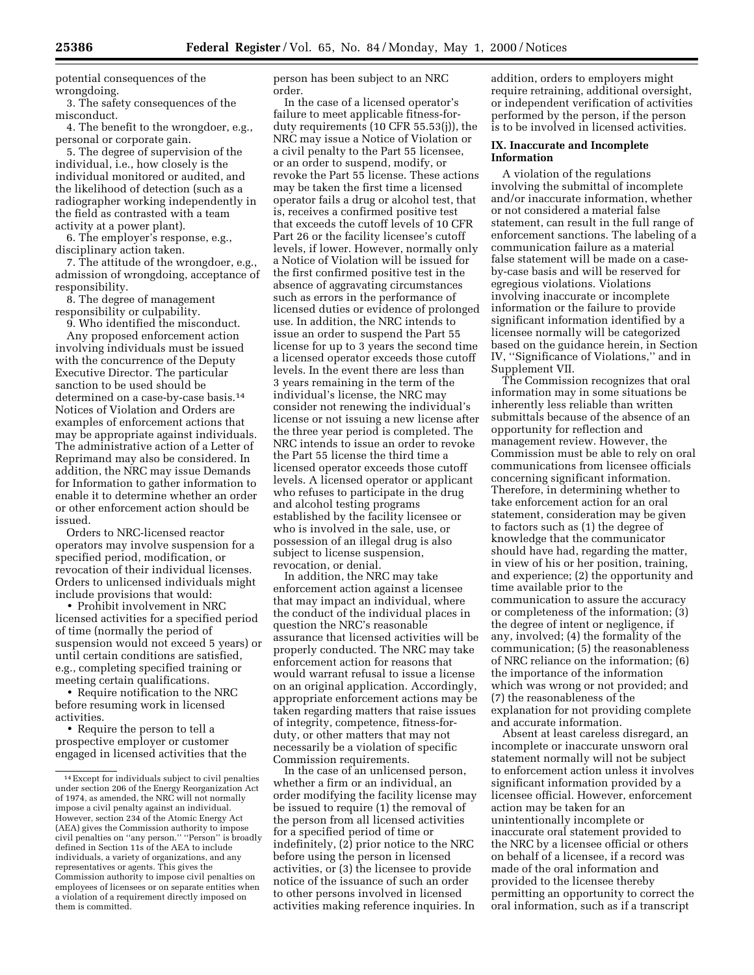potential consequences of the wrongdoing.

3. The safety consequences of the misconduct.

4. The benefit to the wrongdoer, e.g., personal or corporate gain.

5. The degree of supervision of the individual, i.e., how closely is the individual monitored or audited, and the likelihood of detection (such as a radiographer working independently in the field as contrasted with a team activity at a power plant).

6. The employer's response, e.g., disciplinary action taken.

7. The attitude of the wrongdoer, e.g., admission of wrongdoing, acceptance of responsibility.

8. The degree of management responsibility or culpability.

9. Who identified the misconduct. Any proposed enforcement action involving individuals must be issued with the concurrence of the Deputy Executive Director. The particular sanction to be used should be determined on a case-by-case basis.14 Notices of Violation and Orders are examples of enforcement actions that may be appropriate against individuals. The administrative action of a Letter of Reprimand may also be considered. In addition, the NRC may issue Demands for Information to gather information to enable it to determine whether an order or other enforcement action should be issued.

Orders to NRC-licensed reactor operators may involve suspension for a specified period, modification, or revocation of their individual licenses. Orders to unlicensed individuals might include provisions that would:

• Prohibit involvement in NRC licensed activities for a specified period of time (normally the period of suspension would not exceed 5 years) or until certain conditions are satisfied, e.g., completing specified training or meeting certain qualifications.

• Require notification to the NRC before resuming work in licensed activities.

• Require the person to tell a prospective employer or customer engaged in licensed activities that the person has been subject to an NRC order.

In the case of a licensed operator's failure to meet applicable fitness-forduty requirements (10 CFR 55.53(j)), the NRC may issue a Notice of Violation or a civil penalty to the Part 55 licensee, or an order to suspend, modify, or revoke the Part 55 license. These actions may be taken the first time a licensed operator fails a drug or alcohol test, that is, receives a confirmed positive test that exceeds the cutoff levels of 10 CFR Part 26 or the facility licensee's cutoff levels, if lower. However, normally only a Notice of Violation will be issued for the first confirmed positive test in the absence of aggravating circumstances such as errors in the performance of licensed duties or evidence of prolonged use. In addition, the NRC intends to issue an order to suspend the Part 55 license for up to 3 years the second time a licensed operator exceeds those cutoff levels. In the event there are less than 3 years remaining in the term of the individual's license, the NRC may consider not renewing the individual's license or not issuing a new license after the three year period is completed. The NRC intends to issue an order to revoke the Part 55 license the third time a licensed operator exceeds those cutoff levels. A licensed operator or applicant who refuses to participate in the drug and alcohol testing programs established by the facility licensee or who is involved in the sale, use, or possession of an illegal drug is also subject to license suspension, revocation, or denial.

In addition, the NRC may take enforcement action against a licensee that may impact an individual, where the conduct of the individual places in question the NRC's reasonable assurance that licensed activities will be properly conducted. The NRC may take enforcement action for reasons that would warrant refusal to issue a license on an original application. Accordingly, appropriate enforcement actions may be taken regarding matters that raise issues of integrity, competence, fitness-forduty, or other matters that may not necessarily be a violation of specific Commission requirements.

In the case of an unlicensed person, whether a firm or an individual, an order modifying the facility license may be issued to require (1) the removal of the person from all licensed activities for a specified period of time or indefinitely, (2) prior notice to the NRC before using the person in licensed activities, or (3) the licensee to provide notice of the issuance of such an order to other persons involved in licensed activities making reference inquiries. In

addition, orders to employers might require retraining, additional oversight, or independent verification of activities performed by the person, if the person is to be involved in licensed activities.

# **IX. Inaccurate and Incomplete Information**

A violation of the regulations involving the submittal of incomplete and/or inaccurate information, whether or not considered a material false statement, can result in the full range of enforcement sanctions. The labeling of a communication failure as a material false statement will be made on a caseby-case basis and will be reserved for egregious violations. Violations involving inaccurate or incomplete information or the failure to provide significant information identified by a licensee normally will be categorized based on the guidance herein, in Section IV, ''Significance of Violations,'' and in Supplement VII.

The Commission recognizes that oral information may in some situations be inherently less reliable than written submittals because of the absence of an opportunity for reflection and management review. However, the Commission must be able to rely on oral communications from licensee officials concerning significant information. Therefore, in determining whether to take enforcement action for an oral statement, consideration may be given to factors such as (1) the degree of knowledge that the communicator should have had, regarding the matter, in view of his or her position, training, and experience; (2) the opportunity and time available prior to the communication to assure the accuracy or completeness of the information; (3) the degree of intent or negligence, if any, involved; (4) the formality of the communication; (5) the reasonableness of NRC reliance on the information; (6) the importance of the information which was wrong or not provided; and (7) the reasonableness of the explanation for not providing complete and accurate information.

Absent at least careless disregard, an incomplete or inaccurate unsworn oral statement normally will not be subject to enforcement action unless it involves significant information provided by a licensee official. However, enforcement action may be taken for an unintentionally incomplete or inaccurate oral statement provided to the NRC by a licensee official or others on behalf of a licensee, if a record was made of the oral information and provided to the licensee thereby permitting an opportunity to correct the oral information, such as if a transcript

<sup>14</sup>Except for individuals subject to civil penalties under section 206 of the Energy Reorganization Act of 1974, as amended, the NRC will not normally impose a civil penalty against an individual. However, section 234 of the Atomic Energy Act (AEA) gives the Commission authority to impose civil penalties on ''any person.'' ''Person'' is broadly defined in Section 11s of the AEA to include individuals, a variety of organizations, and any representatives or agents. This gives the Commission authority to impose civil penalties on employees of licensees or on separate entities when a violation of a requirement directly imposed on them is committed.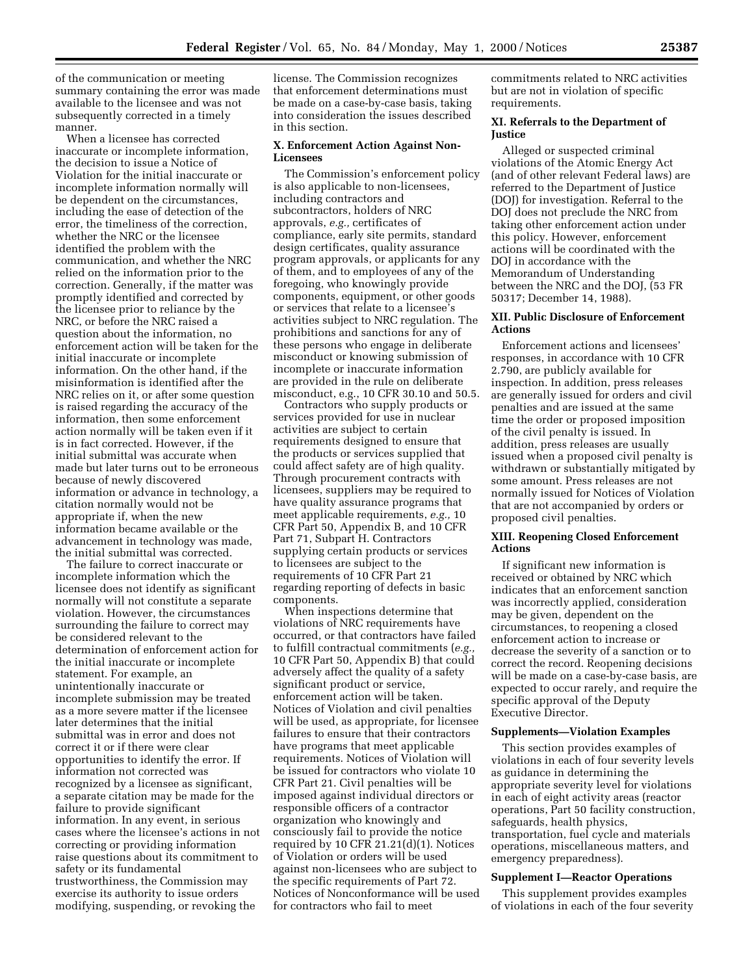of the communication or meeting summary containing the error was made available to the licensee and was not subsequently corrected in a timely manner.

When a licensee has corrected inaccurate or incomplete information, the decision to issue a Notice of Violation for the initial inaccurate or incomplete information normally will be dependent on the circumstances, including the ease of detection of the error, the timeliness of the correction, whether the NRC or the licensee identified the problem with the communication, and whether the NRC relied on the information prior to the correction. Generally, if the matter was promptly identified and corrected by the licensee prior to reliance by the NRC, or before the NRC raised a question about the information, no enforcement action will be taken for the initial inaccurate or incomplete information. On the other hand, if the misinformation is identified after the NRC relies on it, or after some question is raised regarding the accuracy of the information, then some enforcement action normally will be taken even if it is in fact corrected. However, if the initial submittal was accurate when made but later turns out to be erroneous because of newly discovered information or advance in technology, a citation normally would not be appropriate if, when the new information became available or the advancement in technology was made, the initial submittal was corrected.

The failure to correct inaccurate or incomplete information which the licensee does not identify as significant normally will not constitute a separate violation. However, the circumstances surrounding the failure to correct may be considered relevant to the determination of enforcement action for the initial inaccurate or incomplete statement. For example, an unintentionally inaccurate or incomplete submission may be treated as a more severe matter if the licensee later determines that the initial submittal was in error and does not correct it or if there were clear opportunities to identify the error. If information not corrected was recognized by a licensee as significant, a separate citation may be made for the failure to provide significant information. In any event, in serious cases where the licensee's actions in not correcting or providing information raise questions about its commitment to safety or its fundamental trustworthiness, the Commission may exercise its authority to issue orders modifying, suspending, or revoking the

license. The Commission recognizes that enforcement determinations must be made on a case-by-case basis, taking into consideration the issues described in this section.

### **X. Enforcement Action Against Non-Licensees**

The Commission's enforcement policy is also applicable to non-licensees, including contractors and subcontractors, holders of NRC approvals, *e.g.,* certificates of compliance, early site permits, standard design certificates, quality assurance program approvals, or applicants for any of them, and to employees of any of the foregoing, who knowingly provide components, equipment, or other goods or services that relate to a licensee's activities subject to NRC regulation. The prohibitions and sanctions for any of these persons who engage in deliberate misconduct or knowing submission of incomplete or inaccurate information are provided in the rule on deliberate misconduct, e.g., 10 CFR 30.10 and 50.5.

Contractors who supply products or services provided for use in nuclear activities are subject to certain requirements designed to ensure that the products or services supplied that could affect safety are of high quality. Through procurement contracts with licensees, suppliers may be required to have quality assurance programs that meet applicable requirements, *e.g.,* 10 CFR Part 50, Appendix B, and 10 CFR Part 71, Subpart H. Contractors supplying certain products or services to licensees are subject to the requirements of 10 CFR Part 21 regarding reporting of defects in basic components.

When inspections determine that violations of NRC requirements have occurred, or that contractors have failed to fulfill contractual commitments (*e.g.,* 10 CFR Part 50, Appendix B) that could adversely affect the quality of a safety significant product or service, enforcement action will be taken. Notices of Violation and civil penalties will be used, as appropriate, for licensee failures to ensure that their contractors have programs that meet applicable requirements. Notices of Violation will be issued for contractors who violate 10 CFR Part 21. Civil penalties will be imposed against individual directors or responsible officers of a contractor organization who knowingly and consciously fail to provide the notice required by 10 CFR 21.21(d)(1). Notices of Violation or orders will be used against non-licensees who are subject to the specific requirements of Part 72. Notices of Nonconformance will be used for contractors who fail to meet

commitments related to NRC activities but are not in violation of specific requirements.

### **XI. Referrals to the Department of Justice**

Alleged or suspected criminal violations of the Atomic Energy Act (and of other relevant Federal laws) are referred to the Department of Justice (DOJ) for investigation. Referral to the DOJ does not preclude the NRC from taking other enforcement action under this policy. However, enforcement actions will be coordinated with the DOJ in accordance with the Memorandum of Understanding between the NRC and the DOJ, (53 FR 50317; December 14, 1988).

# **XII. Public Disclosure of Enforcement Actions**

Enforcement actions and licensees' responses, in accordance with 10 CFR 2.790, are publicly available for inspection. In addition, press releases are generally issued for orders and civil penalties and are issued at the same time the order or proposed imposition of the civil penalty is issued. In addition, press releases are usually issued when a proposed civil penalty is withdrawn or substantially mitigated by some amount. Press releases are not normally issued for Notices of Violation that are not accompanied by orders or proposed civil penalties.

# **XIII. Reopening Closed Enforcement Actions**

If significant new information is received or obtained by NRC which indicates that an enforcement sanction was incorrectly applied, consideration may be given, dependent on the circumstances, to reopening a closed enforcement action to increase or decrease the severity of a sanction or to correct the record. Reopening decisions will be made on a case-by-case basis, are expected to occur rarely, and require the specific approval of the Deputy Executive Director.

### **Supplements—Violation Examples**

This section provides examples of violations in each of four severity levels as guidance in determining the appropriate severity level for violations in each of eight activity areas (reactor operations, Part 50 facility construction, safeguards, health physics, transportation, fuel cycle and materials operations, miscellaneous matters, and emergency preparedness).

#### **Supplement I—Reactor Operations**

This supplement provides examples of violations in each of the four severity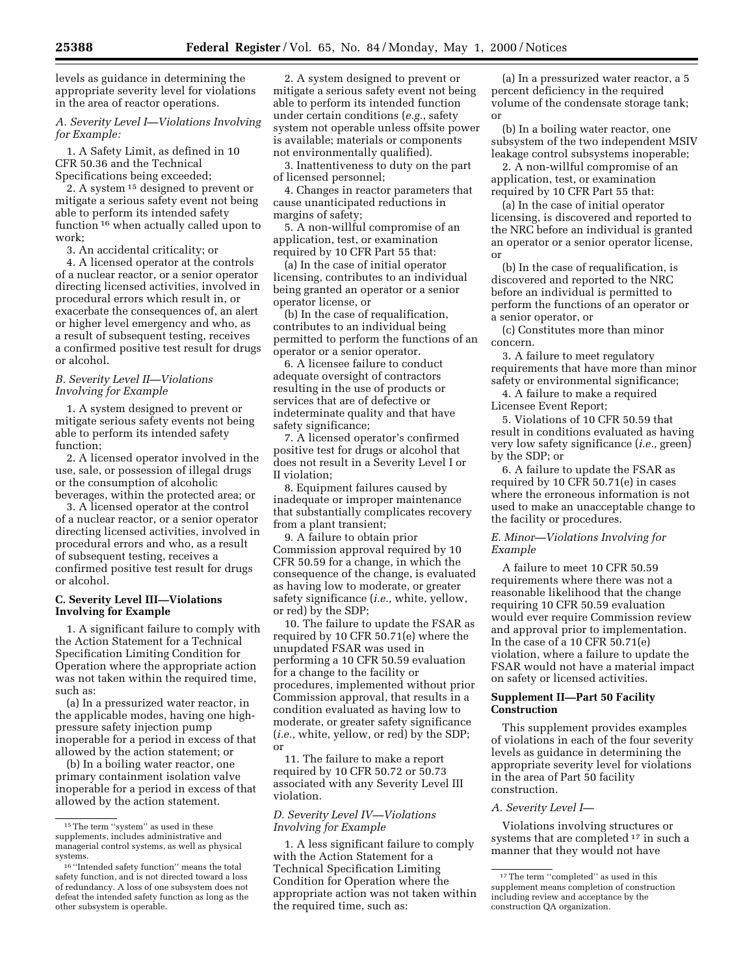levels as guidance in determining the appropriate severity level for violations in the area of reactor operations.

## *A. Severity Level I—Violations Involving for Example:*

1. A Safety Limit, as defined in 10 CFR 50.36 and the Technical Specifications being exceeded;

2. A system 15 designed to prevent or mitigate a serious safety event not being able to perform its intended safety function 16 when actually called upon to work;

3. An accidental criticality; or

4. A licensed operator at the controls of a nuclear reactor, or a senior operator directing licensed activities, involved in procedural errors which result in, or exacerbate the consequences of, an alert or higher level emergency and who, as a result of subsequent testing, receives a confirmed positive test result for drugs or alcohol.

## *B. Severity Level II—Violations Involving for Example*

1. A system designed to prevent or mitigate serious safety events not being able to perform its intended safety function;

2. A licensed operator involved in the use, sale, or possession of illegal drugs or the consumption of alcoholic beverages, within the protected area; or

3. A licensed operator at the control of a nuclear reactor, or a senior operator directing licensed activities, involved in procedural errors and who, as a result of subsequent testing, receives a confirmed positive test result for drugs or alcohol.

# **C. Severity Level III—Violations Involving for Example**

1. A significant failure to comply with the Action Statement for a Technical Specification Limiting Condition for Operation where the appropriate action was not taken within the required time, such as:

(a) In a pressurized water reactor, in the applicable modes, having one highpressure safety injection pump inoperable for a period in excess of that allowed by the action statement; or

(b) In a boiling water reactor, one primary containment isolation valve inoperable for a period in excess of that allowed by the action statement.

2. A system designed to prevent or mitigate a serious safety event not being able to perform its intended function under certain conditions (*e.g.*, safety system not operable unless offsite power is available; materials or components not environmentally qualified).

3. Inattentiveness to duty on the part of licensed personnel;

4. Changes in reactor parameters that cause unanticipated reductions in margins of safety;

5. A non-willful compromise of an application, test, or examination required by 10 CFR Part 55 that:

(a) In the case of initial operator licensing, contributes to an individual being granted an operator or a senior operator license, or

(b) In the case of requalification, contributes to an individual being permitted to perform the functions of an operator or a senior operator.

6. A licensee failure to conduct adequate oversight of contractors resulting in the use of products or services that are of defective or indeterminate quality and that have safety significance;

7. A licensed operator's confirmed positive test for drugs or alcohol that does not result in a Severity Level I or II violation;

8. Equipment failures caused by inadequate or improper maintenance that substantially complicates recovery from a plant transient;

9. A failure to obtain prior Commission approval required by 10 CFR 50.59 for a change, in which the consequence of the change, is evaluated as having low to moderate, or greater safety significance (*i.e.,* white, yellow, or red) by the SDP;

10. The failure to update the FSAR as required by 10 CFR 50.71(e) where the unupdated FSAR was used in performing a 10 CFR 50.59 evaluation for a change to the facility or procedures, implemented without prior Commission approval, that results in a condition evaluated as having low to moderate, or greater safety significance (*i.e.,* white, yellow, or red) by the SDP; or

11. The failure to make a report required by 10 CFR 50.72 or 50.73 associated with any Severity Level III violation.

# *D. Severity Level IV—Violations Involving for Example*

1. A less significant failure to comply with the Action Statement for a Technical Specification Limiting Condition for Operation where the appropriate action was not taken within the required time, such as:

(a) In a pressurized water reactor, a 5 percent deficiency in the required volume of the condensate storage tank; or

(b) In a boiling water reactor, one subsystem of the two independent MSIV leakage control subsystems inoperable;

2. A non-willful compromise of an application, test, or examination required by 10 CFR Part 55 that:

(a) In the case of initial operator licensing, is discovered and reported to the NRC before an individual is granted an operator or a senior operator license, or

(b) In the case of requalification, is discovered and reported to the NRC before an individual is permitted to perform the functions of an operator or a senior operator, or

(c) Constitutes more than minor concern.

3. A failure to meet regulatory requirements that have more than minor safety or environmental significance;

4. A failure to make a required Licensee Event Report;

5. Violations of 10 CFR 50.59 that result in conditions evaluated as having very low safety significance (*i.e.,* green) by the SDP; or

6. A failure to update the FSAR as required by 10 CFR 50.71(e) in cases where the erroneous information is not used to make an unacceptable change to the facility or procedures.

# *E. Minor—Violations Involving for Example*

A failure to meet 10 CFR 50.59 requirements where there was not a reasonable likelihood that the change requiring 10 CFR 50.59 evaluation would ever require Commission review and approval prior to implementation. In the case of a 10 CFR 50.71(e) violation, where a failure to update the FSAR would not have a material impact on safety or licensed activities.

## **Supplement II—Part 50 Facility Construction**

This supplement provides examples of violations in each of the four severity levels as guidance in determining the appropriate severity level for violations in the area of Part 50 facility construction.

### *A. Severity Level I—*

Violations involving structures or systems that are completed 17 in such a manner that they would not have

 $^{\rm 15}\rm{The\ term}$  ''system'' as used in these supplements, includes administrative and managerial control systems, as well as physical systems.

 $^{16}$  "Intended safety function" means the total safety function, and is not directed toward a loss of redundancy. A loss of one subsystem does not defeat the intended safety function as long as the other subsystem is operable.

<sup>17</sup>The term ''completed'' as used in this supplement means completion of construction including review and acceptance by the construction QA organization.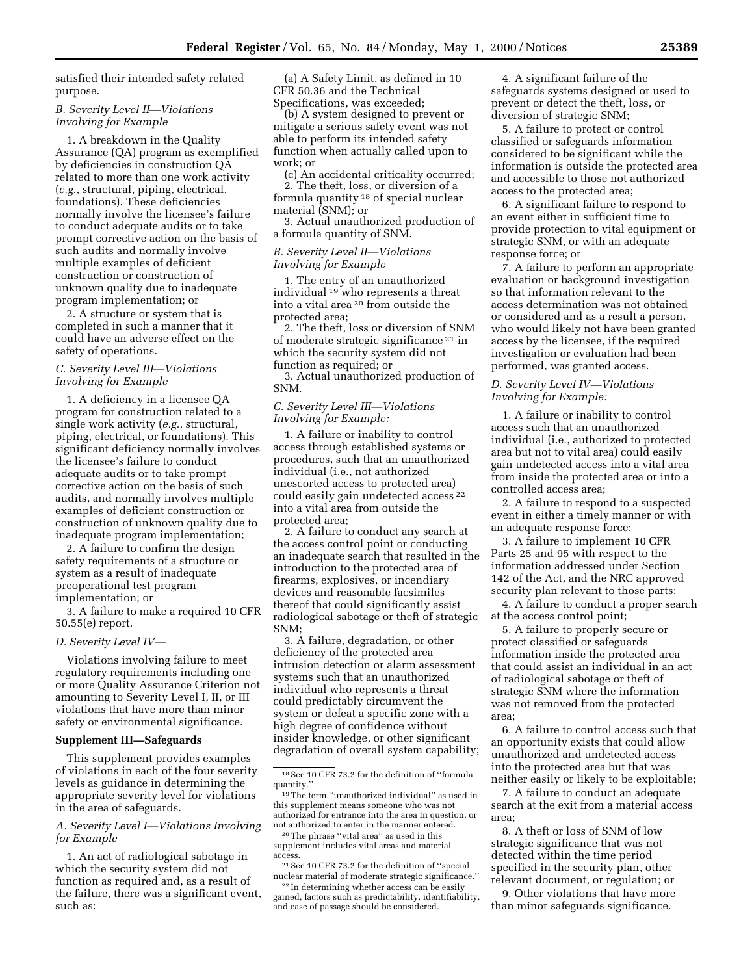satisfied their intended safety related purpose.

## *B. Severity Level II—Violations Involving for Example*

1. A breakdown in the Quality Assurance (QA) program as exemplified by deficiencies in construction QA related to more than one work activity (*e.g.*, structural, piping, electrical, foundations). These deficiencies normally involve the licensee's failure to conduct adequate audits or to take prompt corrective action on the basis of such audits and normally involve multiple examples of deficient construction or construction of unknown quality due to inadequate program implementation; or

2. A structure or system that is completed in such a manner that it could have an adverse effect on the safety of operations.

# *C. Severity Level III—Violations Involving for Example*

1. A deficiency in a licensee QA program for construction related to a single work activity (*e.g.*, structural, piping, electrical, or foundations). This significant deficiency normally involves the licensee's failure to conduct adequate audits or to take prompt corrective action on the basis of such audits, and normally involves multiple examples of deficient construction or construction of unknown quality due to inadequate program implementation;

2. A failure to confirm the design safety requirements of a structure or system as a result of inadequate preoperational test program implementation; or

3. A failure to make a required 10 CFR 50.55(e) report.

### *D. Severity Level IV—*

Violations involving failure to meet regulatory requirements including one or more Quality Assurance Criterion not amounting to Severity Level I, II, or III violations that have more than minor safety or environmental significance.

#### **Supplement III—Safeguards**

This supplement provides examples of violations in each of the four severity levels as guidance in determining the appropriate severity level for violations in the area of safeguards.

## *A. Severity Level I—Violations Involving for Example*

1. An act of radiological sabotage in which the security system did not function as required and, as a result of the failure, there was a significant event, such as:

(a) A Safety Limit, as defined in 10 CFR 50.36 and the Technical Specifications, was exceeded;

(b) A system designed to prevent or mitigate a serious safety event was not able to perform its intended safety function when actually called upon to work; or

(c) An accidental criticality occurred; 2. The theft, loss, or diversion of a

formula quantity 18 of special nuclear material (SNM); or

3. Actual unauthorized production of a formula quantity of SNM.

# *B. Severity Level II—Violations Involving for Example*

1. The entry of an unauthorized individual 19 who represents a threat into a vital area 20 from outside the protected area;

2. The theft, loss or diversion of SNM of moderate strategic significance 21 in which the security system did not function as required; or

3. Actual unauthorized production of SNM.

## *C. Severity Level III—Violations Involving for Example:*

1. A failure or inability to control access through established systems or procedures, such that an unauthorized individual (i.e., not authorized unescorted access to protected area) could easily gain undetected access 22 into a vital area from outside the protected area;

2. A failure to conduct any search at the access control point or conducting an inadequate search that resulted in the introduction to the protected area of firearms, explosives, or incendiary devices and reasonable facsimiles thereof that could significantly assist radiological sabotage or theft of strategic SNM;

3. A failure, degradation, or other deficiency of the protected area intrusion detection or alarm assessment systems such that an unauthorized individual who represents a threat could predictably circumvent the system or defeat a specific zone with a high degree of confidence without insider knowledge, or other significant degradation of overall system capability;

20The phrase ''vital area'' as used in this supplement includes vital areas and material access.

21See 10 CFR.73.2 for the definition of ''special nuclear material of moderate strategic significance.''

22 In determining whether access can be easily gained, factors such as predictability, identifiability, and ease of passage should be considered.

4. A significant failure of the safeguards systems designed or used to prevent or detect the theft, loss, or diversion of strategic SNM;

5. A failure to protect or control classified or safeguards information considered to be significant while the information is outside the protected area and accessible to those not authorized access to the protected area;

6. A significant failure to respond to an event either in sufficient time to provide protection to vital equipment or strategic SNM, or with an adequate response force; or

7. A failure to perform an appropriate evaluation or background investigation so that information relevant to the access determination was not obtained or considered and as a result a person, who would likely not have been granted access by the licensee, if the required investigation or evaluation had been performed, was granted access.

# *D. Severity Level IV—Violations Involving for Example:*

1. A failure or inability to control access such that an unauthorized individual (i.e., authorized to protected area but not to vital area) could easily gain undetected access into a vital area from inside the protected area or into a controlled access area;

2. A failure to respond to a suspected event in either a timely manner or with an adequate response force;

3. A failure to implement 10 CFR Parts 25 and 95 with respect to the information addressed under Section 142 of the Act, and the NRC approved security plan relevant to those parts;

4. A failure to conduct a proper search at the access control point;

5. A failure to properly secure or protect classified or safeguards information inside the protected area that could assist an individual in an act of radiological sabotage or theft of strategic SNM where the information was not removed from the protected area;

6. A failure to control access such that an opportunity exists that could allow unauthorized and undetected access into the protected area but that was neither easily or likely to be exploitable;

7. A failure to conduct an adequate search at the exit from a material access area;

8. A theft or loss of SNM of low strategic significance that was not detected within the time period specified in the security plan, other relevant document, or regulation; or

9. Other violations that have more than minor safeguards significance.

<sup>18</sup>See 10 CFR 73.2 for the definition of ''formula quantity.''

<sup>19</sup>The term ''unauthorized individual'' as used in this supplement means someone who was not authorized for entrance into the area in question, or not authorized to enter in the manner entered.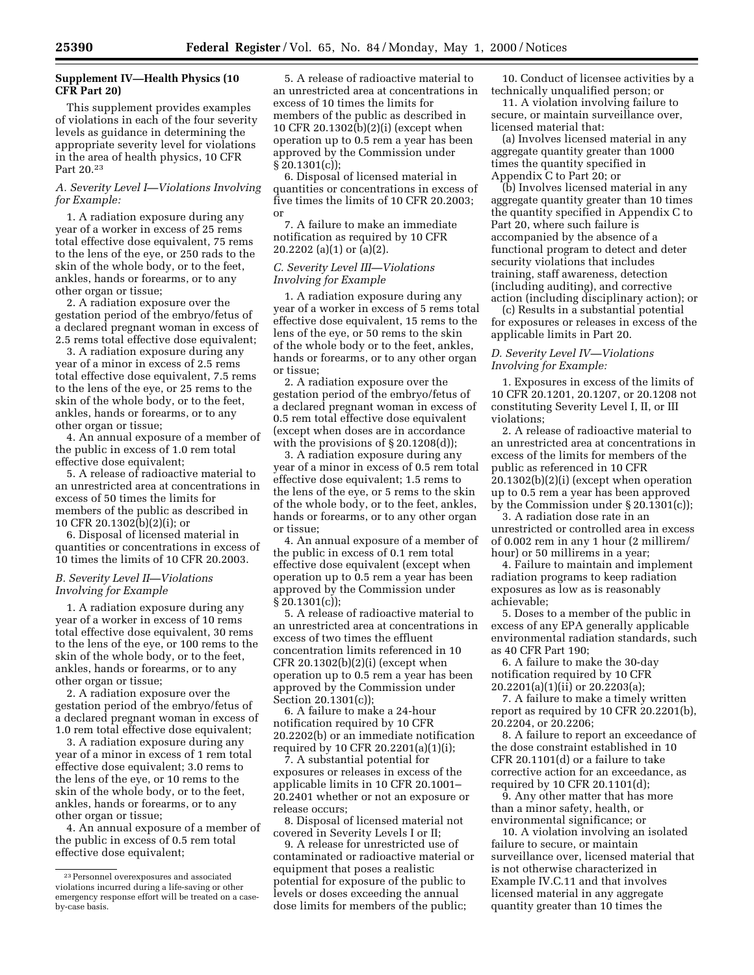# **Supplement IV—Health Physics (10 CFR Part 20)**

This supplement provides examples of violations in each of the four severity levels as guidance in determining the appropriate severity level for violations in the area of health physics, 10 CFR Part 20.23

# *A. Severity Level I—Violations Involving for Example:*

1. A radiation exposure during any year of a worker in excess of 25 rems total effective dose equivalent, 75 rems to the lens of the eye, or 250 rads to the skin of the whole body, or to the feet, ankles, hands or forearms, or to any other organ or tissue;

2. A radiation exposure over the gestation period of the embryo/fetus of a declared pregnant woman in excess of 2.5 rems total effective dose equivalent;

3. A radiation exposure during any year of a minor in excess of 2.5 rems total effective dose equivalent, 7.5 rems to the lens of the eye, or 25 rems to the skin of the whole body, or to the feet, ankles, hands or forearms, or to any other organ or tissue;

4. An annual exposure of a member of the public in excess of 1.0 rem total effective dose equivalent;

5. A release of radioactive material to an unrestricted area at concentrations in excess of 50 times the limits for members of the public as described in 10 CFR 20.1302(b)(2)(i); or

6. Disposal of licensed material in quantities or concentrations in excess of 10 times the limits of 10 CFR 20.2003.

## *B. Severity Level II—Violations Involving for Example*

1. A radiation exposure during any year of a worker in excess of 10 rems total effective dose equivalent, 30 rems to the lens of the eye, or 100 rems to the skin of the whole body, or to the feet, ankles, hands or forearms, or to any other organ or tissue;

2. A radiation exposure over the gestation period of the embryo/fetus of a declared pregnant woman in excess of 1.0 rem total effective dose equivalent;

3. A radiation exposure during any year of a minor in excess of 1 rem total effective dose equivalent; 3.0 rems to the lens of the eye, or 10 rems to the skin of the whole body, or to the feet, ankles, hands or forearms, or to any other organ or tissue;

4. An annual exposure of a member of the public in excess of 0.5 rem total effective dose equivalent;

5. A release of radioactive material to an unrestricted area at concentrations in excess of 10 times the limits for members of the public as described in 10 CFR 20.1302(b)(2)(i) (except when operation up to 0.5 rem a year has been approved by the Commission under § 20.1301(c));

6. Disposal of licensed material in quantities or concentrations in excess of five times the limits of 10 CFR 20.2003; or

7. A failure to make an immediate notification as required by 10 CFR 20.2202 (a)(1) or (a)(2).

# *C. Severity Level III—Violations Involving for Example*

1. A radiation exposure during any year of a worker in excess of 5 rems total effective dose equivalent, 15 rems to the lens of the eye, or 50 rems to the skin of the whole body or to the feet, ankles, hands or forearms, or to any other organ or tissue;

2. A radiation exposure over the gestation period of the embryo/fetus of a declared pregnant woman in excess of 0.5 rem total effective dose equivalent (except when doses are in accordance with the provisions of  $\S 20.1208(d)$ ;

3. A radiation exposure during any year of a minor in excess of 0.5 rem total effective dose equivalent; 1.5 rems to the lens of the eye, or 5 rems to the skin of the whole body, or to the feet, ankles, hands or forearms, or to any other organ or tissue;

4. An annual exposure of a member of the public in excess of 0.1 rem total effective dose equivalent (except when operation up to 0.5 rem a year has been approved by the Commission under § 20.1301(c));

5. A release of radioactive material to an unrestricted area at concentrations in excess of two times the effluent concentration limits referenced in 10 CFR  $20.1302(b)(2)(i)$  (except when operation up to 0.5 rem a year has been approved by the Commission under Section 20.1301(c));

6. A failure to make a 24-hour notification required by 10 CFR 20.2202(b) or an immediate notification required by 10 CFR 20.2201(a)(1)(i);

7. A substantial potential for exposures or releases in excess of the applicable limits in 10 CFR 20.1001– 20.2401 whether or not an exposure or release occurs;

8. Disposal of licensed material not covered in Severity Levels I or II;

9. A release for unrestricted use of contaminated or radioactive material or equipment that poses a realistic potential for exposure of the public to levels or doses exceeding the annual dose limits for members of the public;

10. Conduct of licensee activities by a technically unqualified person; or

11. A violation involving failure to secure, or maintain surveillance over, licensed material that:

(a) Involves licensed material in any aggregate quantity greater than 1000 times the quantity specified in Appendix C to Part 20; or

(b) Involves licensed material in any aggregate quantity greater than 10 times the quantity specified in Appendix C to Part 20, where such failure is accompanied by the absence of a functional program to detect and deter security violations that includes training, staff awareness, detection (including auditing), and corrective action (including disciplinary action); or

(c) Results in a substantial potential for exposures or releases in excess of the applicable limits in Part 20.

### *D. Severity Level IV—Violations Involving for Example:*

1. Exposures in excess of the limits of 10 CFR 20.1201, 20.1207, or 20.1208 not constituting Severity Level I, II, or III violations;

2. A release of radioactive material to an unrestricted area at concentrations in excess of the limits for members of the public as referenced in 10 CFR 20.1302(b)(2)(i) (except when operation up to 0.5 rem a year has been approved by the Commission under § 20.1301(c));

3. A radiation dose rate in an unrestricted or controlled area in excess of 0.002 rem in any 1 hour (2 millirem/ hour) or 50 millirems in a year;

4. Failure to maintain and implement radiation programs to keep radiation exposures as low as is reasonably achievable;

5. Doses to a member of the public in excess of any EPA generally applicable environmental radiation standards, such as 40 CFR Part 190;

6. A failure to make the 30-day notification required by 10 CFR 20.2201(a)(1)(ii) or 20.2203(a);

7. A failure to make a timely written report as required by 10 CFR 20.2201(b), 20.2204, or 20.2206;

8. A failure to report an exceedance of the dose constraint established in 10 CFR 20.1101(d) or a failure to take corrective action for an exceedance, as required by 10 CFR 20.1101(d);

9. Any other matter that has more than a minor safety, health, or environmental significance; or

10. A violation involving an isolated failure to secure, or maintain surveillance over, licensed material that is not otherwise characterized in Example IV.C.11 and that involves licensed material in any aggregate quantity greater than 10 times the

<sup>23</sup>Personnel overexposures and associated violations incurred during a life-saving or other emergency response effort will be treated on a caseby-case basis.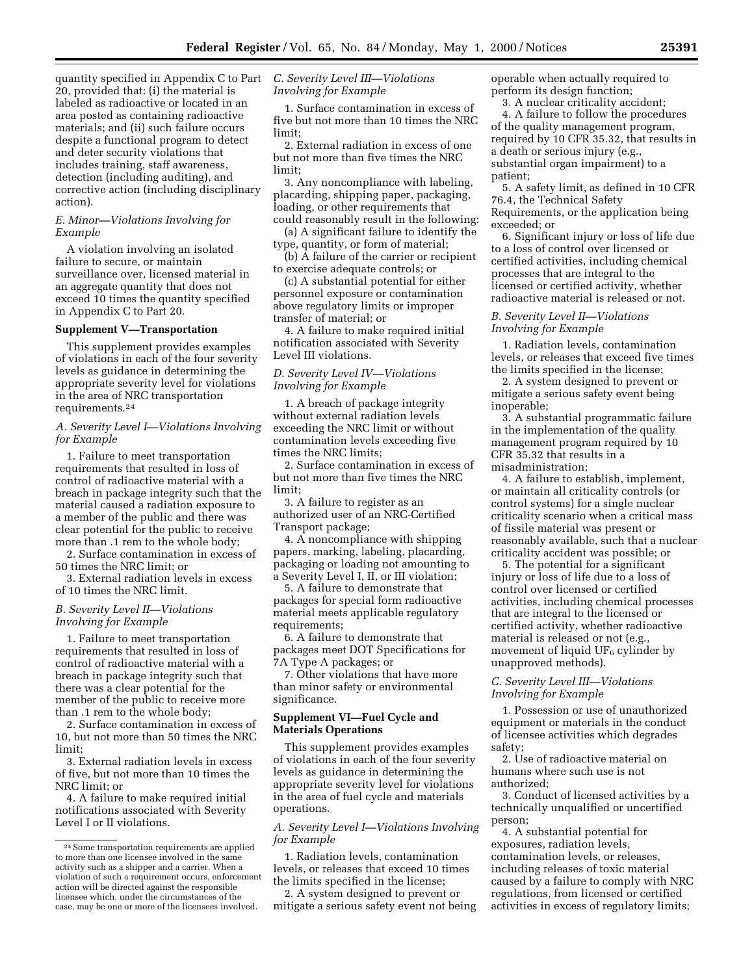quantity specified in Appendix C to Part 20, provided that: (i) the material is labeled as radioactive or located in an area posted as containing radioactive materials; and (ii) such failure occurs despite a functional program to detect and deter security violations that includes training, staff awareness, detection (including auditing), and corrective action (including disciplinary action).

## *E. Minor—Violations Involving for Example*

A violation involving an isolated failure to secure, or maintain surveillance over, licensed material in an aggregate quantity that does not exceed 10 times the quantity specified in Appendix C to Part 20.

## **Supplement V—Transportation**

This supplement provides examples of violations in each of the four severity levels as guidance in determining the appropriate severity level for violations in the area of NRC transportation requirements.24

# *A. Severity Level I—Violations Involving for Example*

1. Failure to meet transportation requirements that resulted in loss of control of radioactive material with a breach in package integrity such that the material caused a radiation exposure to a member of the public and there was clear potential for the public to receive more than .1 rem to the whole body;

2. Surface contamination in excess of 50 times the NRC limit; or

3. External radiation levels in excess of 10 times the NRC limit.

# *B. Severity Level II—Violations Involving for Example*

1. Failure to meet transportation requirements that resulted in loss of control of radioactive material with a breach in package integrity such that there was a clear potential for the member of the public to receive more than .1 rem to the whole body;

2. Surface contamination in excess of 10, but not more than 50 times the NRC limit;

3. External radiation levels in excess of five, but not more than 10 times the NRC limit; or

4. A failure to make required initial notifications associated with Severity Level I or II violations.

# *C. Severity Level III—Violations Involving for Example*

1. Surface contamination in excess of five but not more than 10 times the NRC limit;

2. External radiation in excess of one but not more than five times the NRC limit;

3. Any noncompliance with labeling, placarding, shipping paper, packaging, loading, or other requirements that could reasonably result in the following:

(a) A significant failure to identify the type, quantity, or form of material;

(b) A failure of the carrier or recipient to exercise adequate controls; or

(c) A substantial potential for either personnel exposure or contamination above regulatory limits or improper transfer of material; or

4. A failure to make required initial notification associated with Severity Level III violations.

### *D. Severity Level IV—Violations Involving for Example*

1. A breach of package integrity without external radiation levels exceeding the NRC limit or without contamination levels exceeding five times the NRC limits;

2. Surface contamination in excess of but not more than five times the NRC limit;

3. A failure to register as an authorized user of an NRC-Certified Transport package;

4. A noncompliance with shipping papers, marking, labeling, placarding, packaging or loading not amounting to a Severity Level I, II, or III violation;

5. A failure to demonstrate that packages for special form radioactive material meets applicable regulatory requirements;

6. A failure to demonstrate that packages meet DOT Specifications for 7A Type A packages; or

7. Other violations that have more than minor safety or environmental significance.

# **Supplement VI—Fuel Cycle and Materials Operations**

This supplement provides examples of violations in each of the four severity levels as guidance in determining the appropriate severity level for violations in the area of fuel cycle and materials operations.

### *A. Severity Level I—Violations Involving for Example*

1. Radiation levels, contamination levels, or releases that exceed 10 times the limits specified in the license;

2. A system designed to prevent or mitigate a serious safety event not being operable when actually required to perform its design function;

3. A nuclear criticality accident;

4. A failure to follow the procedures of the quality management program, required by 10 CFR 35.32, that results in a death or serious injury (e.g., substantial organ impairment) to a patient;

5. A safety limit, as defined in 10 CFR 76.4, the Technical Safety Requirements, or the application being exceeded; or

6. Significant injury or loss of life due to a loss of control over licensed or certified activities, including chemical processes that are integral to the licensed or certified activity, whether radioactive material is released or not.

## *B. Severity Level II—Violations Involving for Example*

1. Radiation levels, contamination levels, or releases that exceed five times the limits specified in the license;

2. A system designed to prevent or mitigate a serious safety event being inoperable;

3. A substantial programmatic failure in the implementation of the quality management program required by 10 CFR 35.32 that results in a misadministration;

4. A failure to establish, implement, or maintain all criticality controls (or control systems) for a single nuclear criticality scenario when a critical mass of fissile material was present or reasonably available, such that a nuclear criticality accident was possible; or

5. The potential for a significant injury or loss of life due to a loss of control over licensed or certified activities, including chemical processes that are integral to the licensed or certified activity, whether radioactive material is released or not (e.g., movement of liquid UF<sub>6</sub> cylinder by unapproved methods).

# *C. Severity Level III—Violations Involving for Example*

1. Possession or use of unauthorized equipment or materials in the conduct of licensee activities which degrades safety;

2. Use of radioactive material on humans where such use is not authorized;

3. Conduct of licensed activities by a technically unqualified or uncertified person;

4. A substantial potential for exposures, radiation levels, contamination levels, or releases, including releases of toxic material caused by a failure to comply with NRC regulations, from licensed or certified activities in excess of regulatory limits;

<sup>24</sup>Some transportation requirements are applied to more than one licensee involved in the same activity such as a shipper and a carrier. When a violation of such a requirement occurs, enforcement action will be directed against the responsible licensee which, under the circumstances of the case, may be one or more of the licensees involved.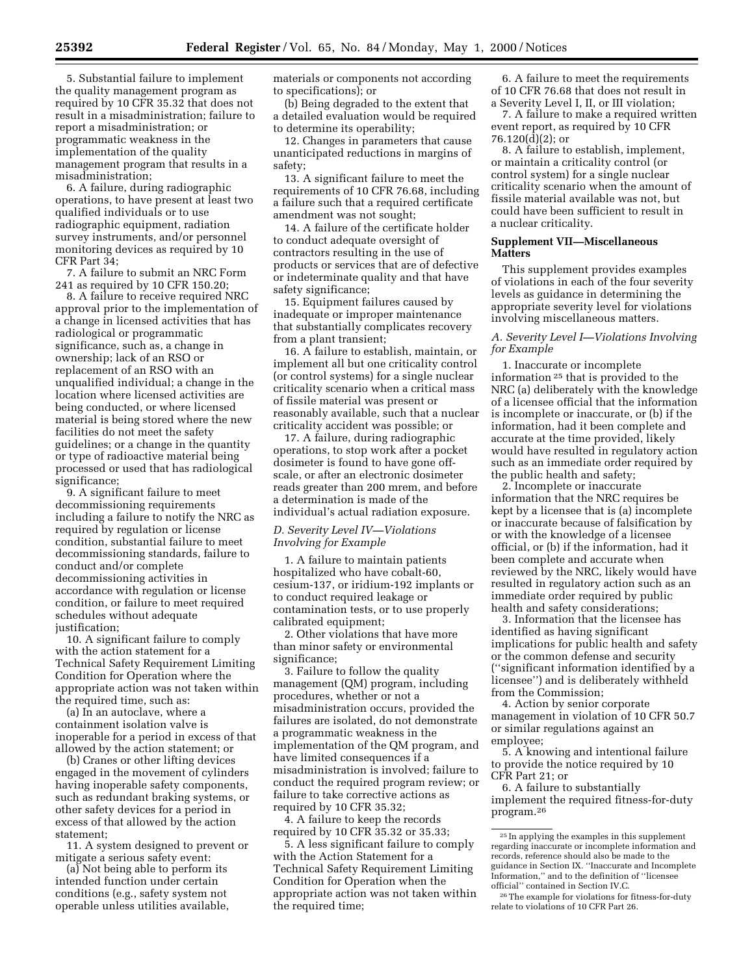5. Substantial failure to implement the quality management program as required by 10 CFR 35.32 that does not result in a misadministration; failure to report a misadministration; or programmatic weakness in the implementation of the quality management program that results in a misadministration;

6. A failure, during radiographic operations, to have present at least two qualified individuals or to use radiographic equipment, radiation survey instruments, and/or personnel monitoring devices as required by 10 CFR Part 34;

7. A failure to submit an NRC Form 241 as required by 10 CFR 150.20;

8. A failure to receive required NRC approval prior to the implementation of a change in licensed activities that has radiological or programmatic significance, such as, a change in ownership; lack of an RSO or replacement of an RSO with an unqualified individual; a change in the location where licensed activities are being conducted, or where licensed material is being stored where the new facilities do not meet the safety guidelines; or a change in the quantity or type of radioactive material being processed or used that has radiological significance;

9. A significant failure to meet decommissioning requirements including a failure to notify the NRC as required by regulation or license condition, substantial failure to meet decommissioning standards, failure to conduct and/or complete decommissioning activities in accordance with regulation or license condition, or failure to meet required schedules without adequate justification;

10. A significant failure to comply with the action statement for a Technical Safety Requirement Limiting Condition for Operation where the appropriate action was not taken within the required time, such as:

(a) In an autoclave, where a containment isolation valve is inoperable for a period in excess of that allowed by the action statement; or

(b) Cranes or other lifting devices engaged in the movement of cylinders having inoperable safety components, such as redundant braking systems, or other safety devices for a period in excess of that allowed by the action statement;

11. A system designed to prevent or mitigate a serious safety event:

(a) Not being able to perform its intended function under certain conditions (e.g., safety system not operable unless utilities available, materials or components not according to specifications); or

(b) Being degraded to the extent that a detailed evaluation would be required to determine its operability;

12. Changes in parameters that cause unanticipated reductions in margins of safety;

13. A significant failure to meet the requirements of 10 CFR 76.68, including a failure such that a required certificate amendment was not sought;

14. A failure of the certificate holder to conduct adequate oversight of contractors resulting in the use of products or services that are of defective or indeterminate quality and that have safety significance;

15. Equipment failures caused by inadequate or improper maintenance that substantially complicates recovery from a plant transient;

16. A failure to establish, maintain, or implement all but one criticality control (or control systems) for a single nuclear criticality scenario when a critical mass of fissile material was present or reasonably available, such that a nuclear criticality accident was possible; or

17. A failure, during radiographic operations, to stop work after a pocket dosimeter is found to have gone offscale, or after an electronic dosimeter reads greater than 200 mrem, and before a determination is made of the individual's actual radiation exposure.

### *D. Severity Level IV—Violations Involving for Example*

1. A failure to maintain patients hospitalized who have cobalt-60, cesium-137, or iridium-192 implants or to conduct required leakage or contamination tests, or to use properly calibrated equipment;

2. Other violations that have more than minor safety or environmental significance;

3. Failure to follow the quality management (QM) program, including procedures, whether or not a misadministration occurs, provided the failures are isolated, do not demonstrate a programmatic weakness in the implementation of the QM program, and have limited consequences if a misadministration is involved; failure to conduct the required program review; or failure to take corrective actions as required by 10 CFR 35.32;

4. A failure to keep the records required by 10 CFR 35.32 or 35.33;

5. A less significant failure to comply with the Action Statement for a Technical Safety Requirement Limiting Condition for Operation when the appropriate action was not taken within the required time;

6. A failure to meet the requirements of 10 CFR 76.68 that does not result in a Severity Level I, II, or III violation;

7. A failure to make a required written event report, as required by 10 CFR 76.120(d)(2); or

8. A failure to establish, implement, or maintain a criticality control (or control system) for a single nuclear criticality scenario when the amount of fissile material available was not, but could have been sufficient to result in a nuclear criticality.

# **Supplement VII—Miscellaneous Matters**

This supplement provides examples of violations in each of the four severity levels as guidance in determining the appropriate severity level for violations involving miscellaneous matters.

## *A. Severity Level I—Violations Involving for Example*

1. Inaccurate or incomplete information 25 that is provided to the NRC (a) deliberately with the knowledge of a licensee official that the information is incomplete or inaccurate, or (b) if the information, had it been complete and accurate at the time provided, likely would have resulted in regulatory action such as an immediate order required by the public health and safety;

2. Incomplete or inaccurate information that the NRC requires be kept by a licensee that is (a) incomplete or inaccurate because of falsification by or with the knowledge of a licensee official, or (b) if the information, had it been complete and accurate when reviewed by the NRC, likely would have resulted in regulatory action such as an immediate order required by public health and safety considerations;

3. Information that the licensee has identified as having significant implications for public health and safety or the common defense and security (''significant information identified by a licensee'') and is deliberately withheld from the Commission;

4. Action by senior corporate management in violation of 10 CFR 50.7 or similar regulations against an employee;

5. A knowing and intentional failure to provide the notice required by 10 CFR Part 21; or

6. A failure to substantially implement the required fitness-for-duty program.26

<sup>25</sup> In applying the examples in this supplement regarding inaccurate or incomplete information and records, reference should also be made to the guidance in Section IX. ''Inaccurate and Incomplete Information,'' and to the definition of ''licensee official'' contained in Section IV.C.

<sup>26</sup>The example for violations for fitness-for-duty relate to violations of 10 CFR Part 26.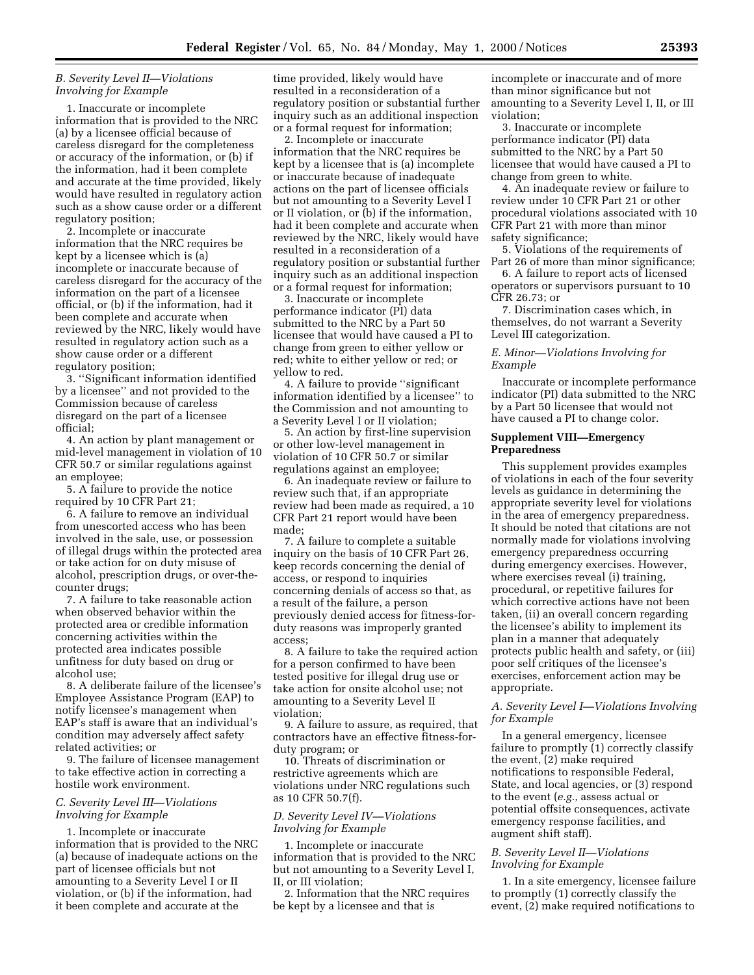# *B. Severity Level II—Violations Involving for Example*

1. Inaccurate or incomplete information that is provided to the NRC (a) by a licensee official because of careless disregard for the completeness or accuracy of the information, or (b) if the information, had it been complete and accurate at the time provided, likely would have resulted in regulatory action such as a show cause order or a different regulatory position;

2. Incomplete or inaccurate information that the NRC requires be kept by a licensee which is (a) incomplete or inaccurate because of careless disregard for the accuracy of the information on the part of a licensee official, or (b) if the information, had it been complete and accurate when reviewed by the NRC, likely would have resulted in regulatory action such as a show cause order or a different regulatory position;

3. ''Significant information identified by a licensee'' and not provided to the Commission because of careless disregard on the part of a licensee official;

4. An action by plant management or mid-level management in violation of 10 CFR 50.7 or similar regulations against an employee;

5. A failure to provide the notice required by 10 CFR Part 21;

6. A failure to remove an individual from unescorted access who has been involved in the sale, use, or possession of illegal drugs within the protected area or take action for on duty misuse of alcohol, prescription drugs, or over-thecounter drugs;

7. A failure to take reasonable action when observed behavior within the protected area or credible information concerning activities within the protected area indicates possible unfitness for duty based on drug or alcohol use;

8. A deliberate failure of the licensee's Employee Assistance Program (EAP) to notify licensee's management when EAP's staff is aware that an individual's condition may adversely affect safety related activities; or

9. The failure of licensee management to take effective action in correcting a hostile work environment.

### *C. Severity Level III—Violations Involving for Example*

1. Incomplete or inaccurate information that is provided to the NRC (a) because of inadequate actions on the part of licensee officials but not amounting to a Severity Level I or II violation, or (b) if the information, had it been complete and accurate at the

time provided, likely would have resulted in a reconsideration of a regulatory position or substantial further inquiry such as an additional inspection or a formal request for information;

2. Incomplete or inaccurate information that the NRC requires be kept by a licensee that is (a) incomplete or inaccurate because of inadequate actions on the part of licensee officials but not amounting to a Severity Level I or II violation, or (b) if the information, had it been complete and accurate when reviewed by the NRC, likely would have resulted in a reconsideration of a regulatory position or substantial further inquiry such as an additional inspection or a formal request for information;

3. Inaccurate or incomplete performance indicator (PI) data submitted to the NRC by a Part 50 licensee that would have caused a PI to change from green to either yellow or red; white to either yellow or red; or yellow to red.

4. A failure to provide ''significant information identified by a licensee'' to the Commission and not amounting to a Severity Level I or II violation;

5. An action by first-line supervision or other low-level management in violation of 10 CFR 50.7 or similar regulations against an employee;

6. An inadequate review or failure to review such that, if an appropriate review had been made as required, a 10 CFR Part 21 report would have been made;

7. A failure to complete a suitable inquiry on the basis of 10 CFR Part 26, keep records concerning the denial of access, or respond to inquiries concerning denials of access so that, as a result of the failure, a person previously denied access for fitness-forduty reasons was improperly granted access;

8. A failure to take the required action for a person confirmed to have been tested positive for illegal drug use or take action for onsite alcohol use; not amounting to a Severity Level II violation;

9. A failure to assure, as required, that contractors have an effective fitness-forduty program; or

10. Threats of discrimination or restrictive agreements which are violations under NRC regulations such as 10 CFR 50.7(f).

# *D. Severity Level IV—Violations Involving for Example*

1. Incomplete or inaccurate information that is provided to the NRC but not amounting to a Severity Level I, II, or III violation;

2. Information that the NRC requires be kept by a licensee and that is

incomplete or inaccurate and of more than minor significance but not amounting to a Severity Level I, II, or III violation;

3. Inaccurate or incomplete performance indicator (PI) data submitted to the NRC by a Part 50 licensee that would have caused a PI to change from green to white.

4. An inadequate review or failure to review under 10 CFR Part 21 or other procedural violations associated with 10 CFR Part 21 with more than minor safety significance;

5. Violations of the requirements of Part 26 of more than minor significance;

6. A failure to report acts of licensed operators or supervisors pursuant to 10 CFR 26.73; or

7. Discrimination cases which, in themselves, do not warrant a Severity Level III categorization.

### *E. Minor—Violations Involving for Example*

Inaccurate or incomplete performance indicator (PI) data submitted to the NRC by a Part 50 licensee that would not have caused a PI to change color.

### **Supplement VIII—Emergency Preparedness**

This supplement provides examples of violations in each of the four severity levels as guidance in determining the appropriate severity level for violations in the area of emergency preparedness. It should be noted that citations are not normally made for violations involving emergency preparedness occurring during emergency exercises. However, where exercises reveal (i) training, procedural, or repetitive failures for which corrective actions have not been taken, (ii) an overall concern regarding the licensee's ability to implement its plan in a manner that adequately protects public health and safety, or (iii) poor self critiques of the licensee's exercises, enforcement action may be appropriate.

# *A. Severity Level I—Violations Involving for Example*

In a general emergency, licensee failure to promptly (1) correctly classify the event, (2) make required notifications to responsible Federal, State, and local agencies, or (3) respond to the event (*e.g.,* assess actual or potential offsite consequences, activate emergency response facilities, and augment shift staff).

# *B. Severity Level II—Violations Involving for Example*

1. In a site emergency, licensee failure to promptly (1) correctly classify the event, (2) make required notifications to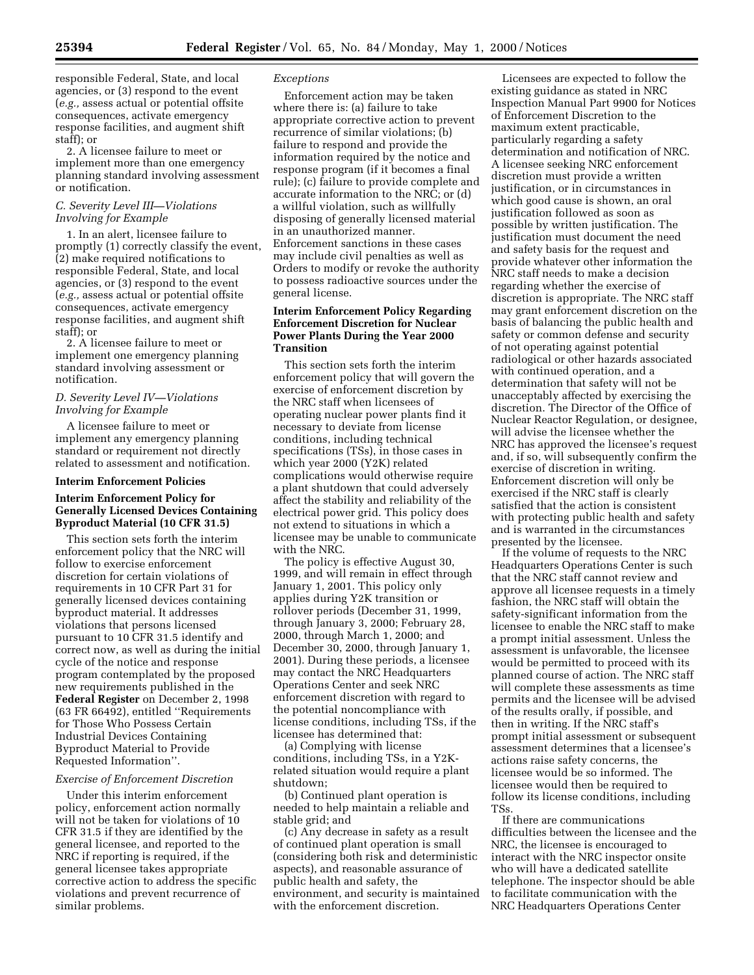responsible Federal, State, and local agencies, or (3) respond to the event (*e.g.,* assess actual or potential offsite consequences, activate emergency response facilities, and augment shift staff); or

2. A licensee failure to meet or implement more than one emergency planning standard involving assessment or notification.

### *C. Severity Level III—Violations Involving for Example*

1. In an alert, licensee failure to promptly (1) correctly classify the event, (2) make required notifications to responsible Federal, State, and local agencies, or (3) respond to the event (*e.g.,* assess actual or potential offsite consequences, activate emergency response facilities, and augment shift staff); or

2. A licensee failure to meet or implement one emergency planning standard involving assessment or notification.

# *D. Severity Level IV—Violations Involving for Example*

A licensee failure to meet or implement any emergency planning standard or requirement not directly related to assessment and notification.

### **Interim Enforcement Policies**

### **Interim Enforcement Policy for Generally Licensed Devices Containing Byproduct Material (10 CFR 31.5)**

This section sets forth the interim enforcement policy that the NRC will follow to exercise enforcement discretion for certain violations of requirements in 10 CFR Part 31 for generally licensed devices containing byproduct material. It addresses violations that persons licensed pursuant to 10 CFR 31.5 identify and correct now, as well as during the initial cycle of the notice and response program contemplated by the proposed new requirements published in the **Federal Register** on December 2, 1998 (63 FR 66492), entitled ''Requirements for Those Who Possess Certain Industrial Devices Containing Byproduct Material to Provide Requested Information''.

## *Exercise of Enforcement Discretion*

Under this interim enforcement policy, enforcement action normally will not be taken for violations of 10 CFR 31.5 if they are identified by the general licensee, and reported to the NRC if reporting is required, if the general licensee takes appropriate corrective action to address the specific violations and prevent recurrence of similar problems.

### *Exceptions*

Enforcement action may be taken where there is: (a) failure to take appropriate corrective action to prevent recurrence of similar violations; (b) failure to respond and provide the information required by the notice and response program (if it becomes a final rule); (c) failure to provide complete and accurate information to the NRC; or (d) a willful violation, such as willfully disposing of generally licensed material in an unauthorized manner. Enforcement sanctions in these cases may include civil penalties as well as Orders to modify or revoke the authority to possess radioactive sources under the general license.

# **Interim Enforcement Policy Regarding Enforcement Discretion for Nuclear Power Plants During the Year 2000 Transition**

This section sets forth the interim enforcement policy that will govern the exercise of enforcement discretion by the NRC staff when licensees of operating nuclear power plants find it necessary to deviate from license conditions, including technical specifications (TSs), in those cases in which year 2000 (Y2K) related complications would otherwise require a plant shutdown that could adversely affect the stability and reliability of the electrical power grid. This policy does not extend to situations in which a licensee may be unable to communicate with the NRC.

The policy is effective August 30, 1999, and will remain in effect through January 1, 2001. This policy only applies during Y2K transition or rollover periods (December 31, 1999, through January 3, 2000; February 28, 2000, through March 1, 2000; and December 30, 2000, through January 1, 2001). During these periods, a licensee may contact the NRC Headquarters Operations Center and seek NRC enforcement discretion with regard to the potential noncompliance with license conditions, including TSs, if the licensee has determined that:

(a) Complying with license conditions, including TSs, in a Y2Krelated situation would require a plant shutdown;

(b) Continued plant operation is needed to help maintain a reliable and stable grid; and

(c) Any decrease in safety as a result of continued plant operation is small (considering both risk and deterministic aspects), and reasonable assurance of public health and safety, the environment, and security is maintained with the enforcement discretion.

Licensees are expected to follow the existing guidance as stated in NRC Inspection Manual Part 9900 for Notices of Enforcement Discretion to the maximum extent practicable, particularly regarding a safety determination and notification of NRC. A licensee seeking NRC enforcement discretion must provide a written justification, or in circumstances in which good cause is shown, an oral justification followed as soon as possible by written justification. The justification must document the need and safety basis for the request and provide whatever other information the NRC staff needs to make a decision regarding whether the exercise of discretion is appropriate. The NRC staff may grant enforcement discretion on the basis of balancing the public health and safety or common defense and security of not operating against potential radiological or other hazards associated with continued operation, and a determination that safety will not be unacceptably affected by exercising the discretion. The Director of the Office of Nuclear Reactor Regulation, or designee, will advise the licensee whether the NRC has approved the licensee's request and, if so, will subsequently confirm the exercise of discretion in writing. Enforcement discretion will only be exercised if the NRC staff is clearly satisfied that the action is consistent with protecting public health and safety and is warranted in the circumstances presented by the licensee.

If the volume of requests to the NRC Headquarters Operations Center is such that the NRC staff cannot review and approve all licensee requests in a timely fashion, the NRC staff will obtain the safety-significant information from the licensee to enable the NRC staff to make a prompt initial assessment. Unless the assessment is unfavorable, the licensee would be permitted to proceed with its planned course of action. The NRC staff will complete these assessments as time permits and the licensee will be advised of the results orally, if possible, and then in writing. If the NRC staff's prompt initial assessment or subsequent assessment determines that a licensee's actions raise safety concerns, the licensee would be so informed. The licensee would then be required to follow its license conditions, including TSs.

If there are communications difficulties between the licensee and the NRC, the licensee is encouraged to interact with the NRC inspector onsite who will have a dedicated satellite telephone. The inspector should be able to facilitate communication with the NRC Headquarters Operations Center